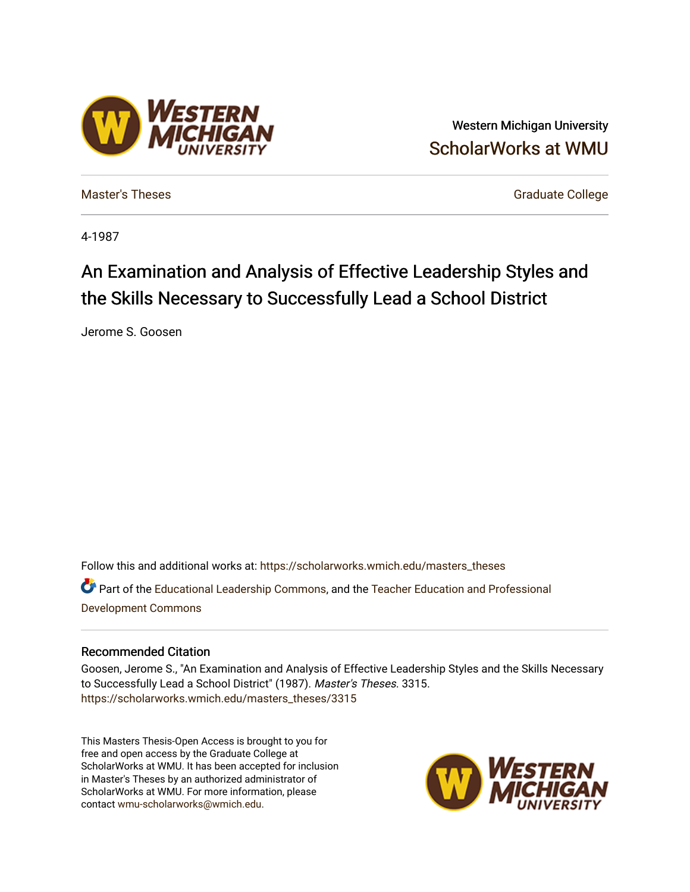### Western Michigan University [ScholarWorks at WMU](https://scholarworks.wmich.edu/)

**ESTERN** 

[Master's Theses](https://scholarworks.wmich.edu/masters_theses) [Graduate College](https://scholarworks.wmich.edu/grad) Controller College College College College College

4-1987

# An Examination and Analysis of Effective Leadership Styles and the Skills Necessary to Successfully Lead a School District

Jerome S. Goosen

Follow this and additional works at: [https://scholarworks.wmich.edu/masters\\_theses](https://scholarworks.wmich.edu/masters_theses?utm_source=scholarworks.wmich.edu%2Fmasters_theses%2F3315&utm_medium=PDF&utm_campaign=PDFCoverPages)  Part of the [Educational Leadership Commons,](http://network.bepress.com/hgg/discipline/1230?utm_source=scholarworks.wmich.edu%2Fmasters_theses%2F3315&utm_medium=PDF&utm_campaign=PDFCoverPages) and the [Teacher Education and Professional](http://network.bepress.com/hgg/discipline/803?utm_source=scholarworks.wmich.edu%2Fmasters_theses%2F3315&utm_medium=PDF&utm_campaign=PDFCoverPages) [Development Commons](http://network.bepress.com/hgg/discipline/803?utm_source=scholarworks.wmich.edu%2Fmasters_theses%2F3315&utm_medium=PDF&utm_campaign=PDFCoverPages) 

#### Recommended Citation

Goosen, Jerome S., "An Examination and Analysis of Effective Leadership Styles and the Skills Necessary to Successfully Lead a School District" (1987). Master's Theses. 3315. [https://scholarworks.wmich.edu/masters\\_theses/3315](https://scholarworks.wmich.edu/masters_theses/3315?utm_source=scholarworks.wmich.edu%2Fmasters_theses%2F3315&utm_medium=PDF&utm_campaign=PDFCoverPages) 

This Masters Thesis-Open Access is brought to you for free and open access by the Graduate College at ScholarWorks at WMU. It has been accepted for inclusion in Master's Theses by an authorized administrator of ScholarWorks at WMU. For more information, please contact [wmu-scholarworks@wmich.edu](mailto:wmu-scholarworks@wmich.edu).

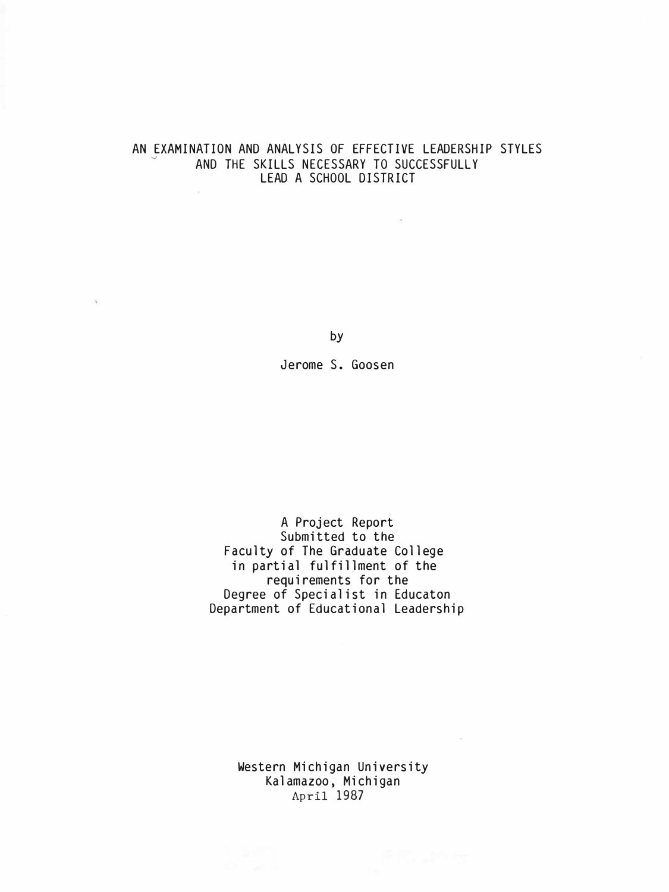## AN EXAMINATION AND ANALYSIS OF EFFECTIVE LEADERSHIP STYLES<br>AND THE SKILLS NECESSARY TO SUCCESSFULLY LEAD A SCHOOL DISTRICT

 $\sim$ 

by

is.

Jerome S. Goosen

A Project Report Submitted to the Faculty of The Graduate College in partial fulfillment of the requirements for the Degree of Specialist in Educaton Department of Educational Leadership

> Western Michigan University Kalamazoo, Michigan April 1987

 $\sim$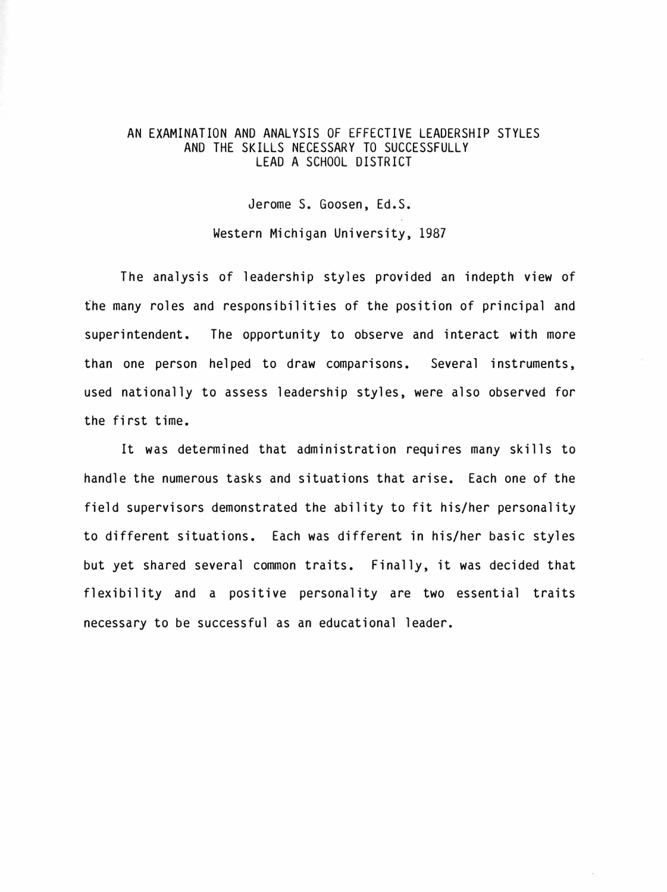#### AN EXAMINATION AND ANALYSIS OF EFFECTIVE LEADERSHIP STYLES AND THE SKILLS NECESSARY TO SUCCESSFULLY LEAD A SCHOOL DISTRICT

Jerome S. Goosen, Ed.S.

Western Michigan University, 1987

The analysis of leadership styles provided an indepth view of the many roles and responsibilities of the position of principal and superintendent. The opportunity to observe and interact with more than one person helped to draw comparisons. Several instruments, used nationally to assess leadership styles, were also observed for the first time.

It was determined that administration requires many skills to handle the numerous tasks and situations that arise. Each one of the field supervisors demonstrated the ability to fit his/her personality to different situations. Each was different in his/her basic styles but yet shared several common traits. Finally, it was decided that flexibility and a positive personality are two essential traits necessary to be successful as an educational leader.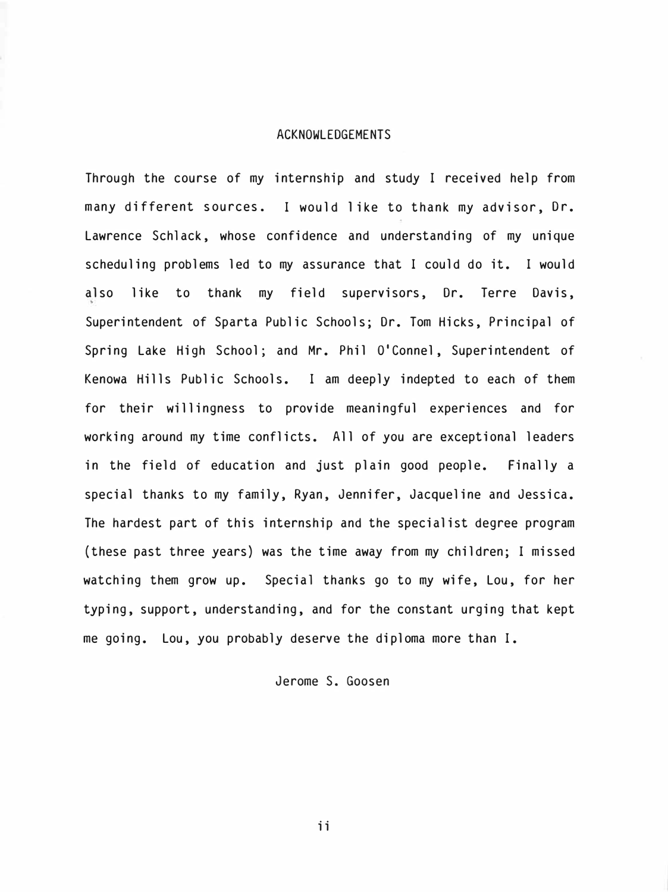#### ACKNOWLEDGEMENTS

Through the course of my internship and study I received help from many different sources. I would 1 ike to thank my advisor, Dr. Lawrence Schlack, whose confidence and understanding of my unique scheduling problems led to my assurance that I could do it. I would also like to thank my field supervisors, Dr. Terre Davis, Superintendent of Sparta Public Schools; Dr. Tom Hicks, Principal of Spring Lake High School; and Mr. Phil O'Connel, Superintendent of Kenowa Hills Public Schools. I am deeply indepted to each of them for their willingness to provide meaningful experiences and for working around my time conflicts. All of you are exceptional leaders in the field of education and just plain good people. Finally a special thanks to my family, Ryan, Jennifer, Jacqueline and Jessica. The hardest part of this internship and the specialist degree program (these past three years) was the time away from my children; I missed watching them grow up. Special thanks go to my wife, Lou, for her typing, support, understanding, and for the constant urging that kept me going. Lou, you probably deserve the diploma more than I.

#### Jerome S. Goosen

ii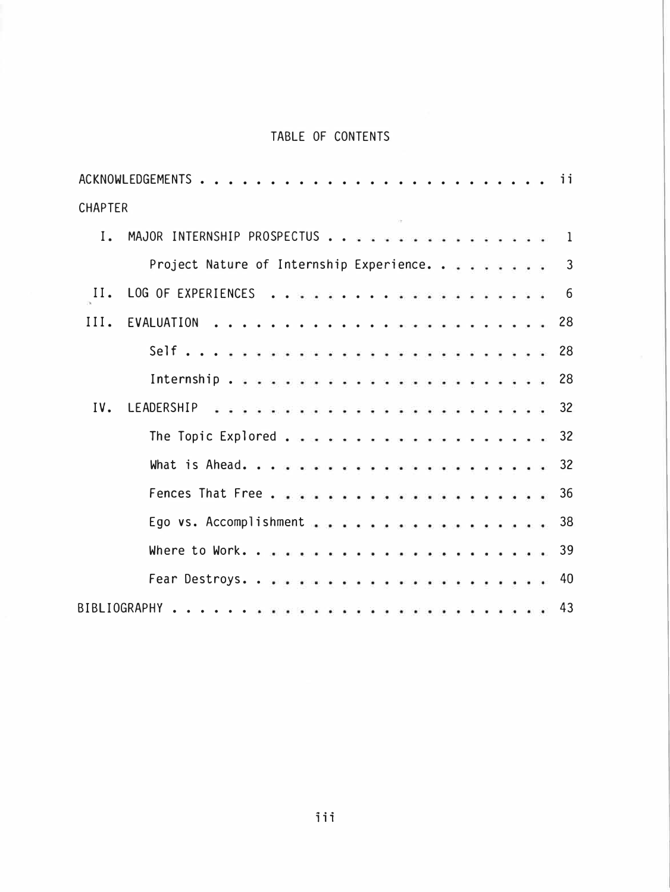### TABLE OF CONTENTS

|                | ACKNOWLEDGEMENTS<br>ii                        |  |
|----------------|-----------------------------------------------|--|
| <b>CHAPTER</b> |                                               |  |
| $I_{\bullet}$  | MAJOR INTERNSHIP PROSPECTUS<br>1              |  |
|                | Project Nature of Internship Experience.<br>3 |  |
| II.            | 6                                             |  |
| III.           | EVALUATION<br>28                              |  |
|                |                                               |  |
|                |                                               |  |
| IV.            | 32                                            |  |
|                |                                               |  |
|                | 32                                            |  |
|                | 36                                            |  |
|                | Ego vs. Accomplishment<br>38                  |  |
|                | 39                                            |  |
|                | 40                                            |  |
|                | 43<br>BIBLIOGRAPHY                            |  |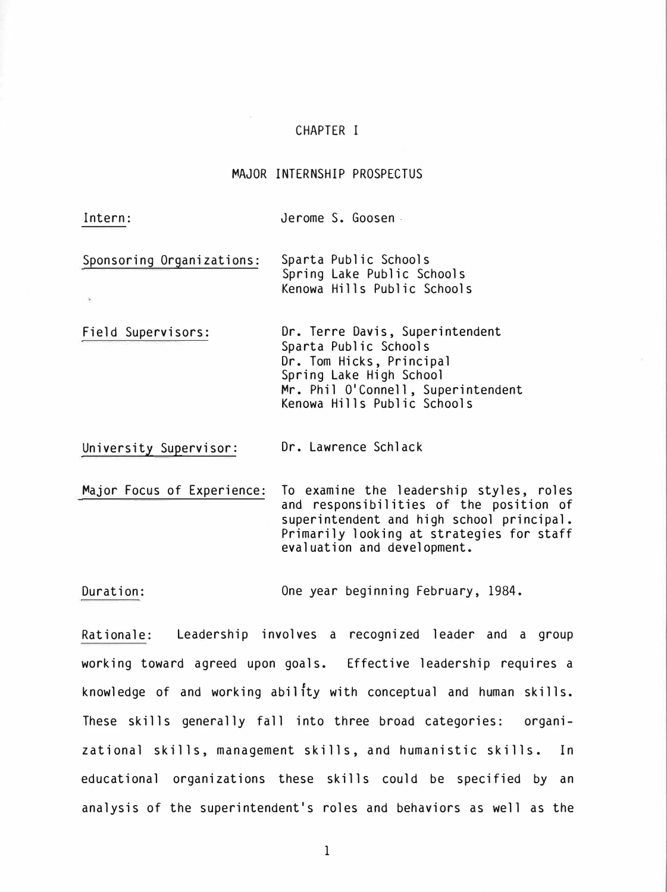#### CHAPTER I

#### MAJOR INTERNSHIP PROSPECTUS

Intern: Jerome S. Goosen.

 $\mathcal{Q}$ 

- Sponsoring Organizations: Sparta Public Schools Spring Lake Public Schools Kenowa Hills Public Schools
- Field Supervisors: Dr. Terre Davis, Superintendent Sparta Public Schools Dr. Tom Hicks, Principal Spring Lake High School Mr. Phil O'Connell, Superintendent Kenowa Hills Public Schools

University Supervisor: Dr. Lawrence Schlack

Major Focus of Experience: To examine the leadership styles, roles and responsibilities of the position of superintendent and high school principal. Primarily looking at strategies for staff evaluation and development.

Duration: One year beginning February, 1984.

Rationale: Leadership involves a recognized leader and a group working toward agreed upon goals. Effective leadership requires a knowledge of and working ability with conceptual and human skills. These skills generally fall into three broad categories: organizational skills, management skills, and humanistic skills. In educational organizations these skills could be specified by an analysis of the superintendent's roles and behaviors as well as the

1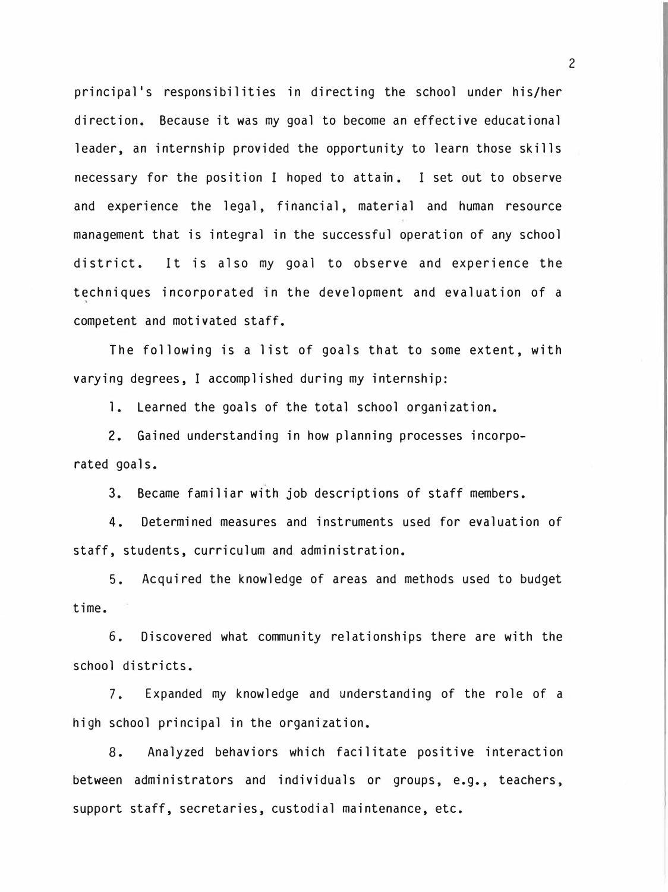principal's responsibilities in directing the school under his/her direction. Because it was my goal to become an effective educational leader, an internship provided the opportunity to learn those skills necessary for the position I hoped to attain . I set out to observe and experience the legal, financial, material and human resource management that is integral in the successful operation of any school district. It is also my goal to observe and experience the t�chniques incorporated in the development and evaluation of a competent and motivated staff.

The following is a list of goals that to some extent, with varying degrees, I accomplished during my internship:

1. Learned the goals of the total school organization.

2. Gained understanding in how planning processes incorporated goals.

3. Became familiar with job descriptions of staff members.

4. Determined measures and instruments used for evaluation of staff, students, curriculum and administration.

5. Acquired the knowledge of areas and methods used to budget time.

6. Discovered what community relationships there are with the school districts.

7. Expanded my knowledge and understanding of the role of a high school principal in the organization.

8. Analyzed behaviors which facilitate positive interaction between administrators and individuals or groups, e.g., teachers, support staff, secretaries, custodial maintenance, etc.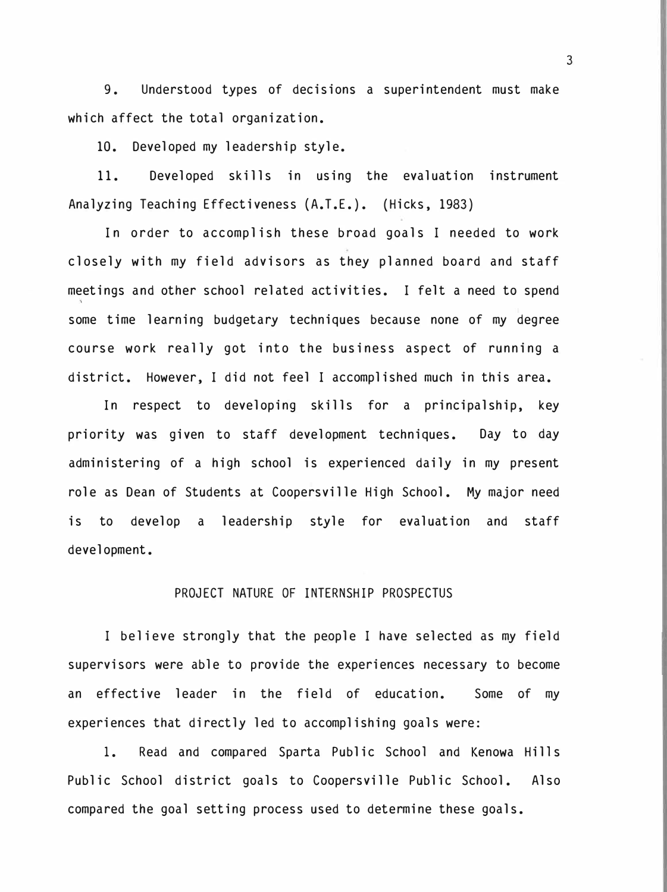9. Understood types of decisions a superintendent must make which affect the total organization.

10. Developed my leadership style.

11. Developed skills in using the evaluation instrument Analyzing Teaching Effectiveness (A.T.E.). (Hicks, 1983)

In order to accomplish these broad goals I needed to work closely with my field advisors as they planned board and staff meetings and other school related activities. I felt a need to spend some time learning budgetary techniques because none of my degree course work really got into the business aspect of running a district. However, I did not feel I accomplished much in this area.

In respect to developing skills for a principalship, key priority was given to staff development techniques. Day to day administering of a high school is experienced daily in my present role as Dean of Students at Coopersville High School. My major need is to develop a leadership style for evaluation and staff development.

#### PROJECT NATURE OF INTERNSHIP PROSPECTUS

I believe strongly that the people I have selected as my field supervisors were able to provide the experiences necessary to become an effective leader in the field of education. Some of my experiences that directly led to accomplishing goals were:

1. Read and compared Sparta Public School and Kenowa Hills Public School district goals to Coopersville Public School. Also compared the goal setting process used to determine these goals.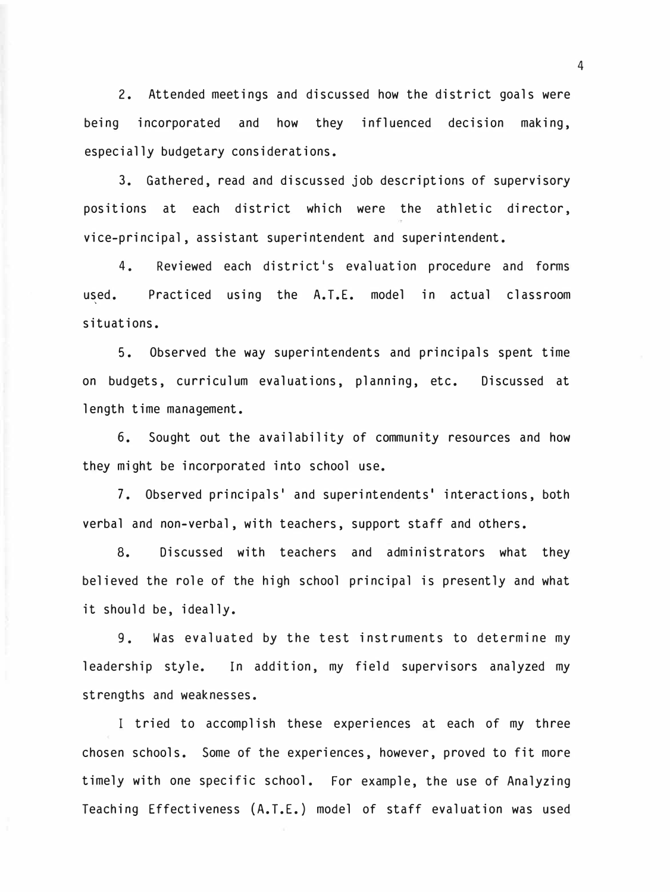2. Attended meetings and discussed how the district goals were being incorporated and how they influenced decision making, especially budgetary considerations.

3. Gathered, read and discussed job descriptions of supervisory positions at each district which were the athletic director, vice-principal, assistant superintendent and superintendent.

4. Reviewed each district's evaluation procedure and forms used. Practiced using the A.T.E. model in actual classroom situations.

5. Observed the way superintendents and principals spent time on budgets, curriculum evaluations, planning, etc. Discussed at length time management.

6. Sought out the availability of community resources and how they might be incorporated into school use.

7. Observed principals' and superintendents' interactions, both verbal and non-verbal, with teachers, support staff and others.

8. Discussed with teachers and administrators what they believed the role of the high school principal is presently and what it should be, ideally.

9. Was evaluated by the test instruments to determine my leadership style. In addition, my field supervisors analyzed my strengths and weaknesses.

I tried to accomplish these experiences at each of my three chosen schools. Some of the experiences, however, proved to fit more timely with one specific school. For example, the use of Analyzing Teaching Effectiveness (A.T.E.) model of staff evaluation was used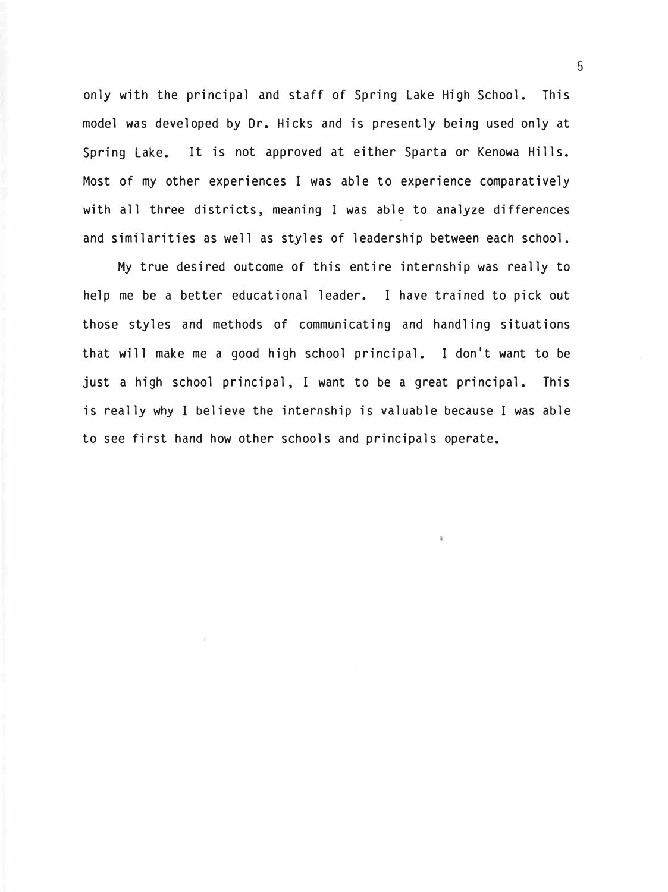only with the principal and staff of Spring Lake High School. This model was developed by Dr. Hicks and is presently being used only at Spring Lake. It is not approved at either Sparta or Kenowa Hills. Most of my other experiences I was able to experience comparatively with all three districts, meaning I was able to analyze differences and similarities as well as styles of leadership between each school.

My true desired outcome of this entire internship was really to help me be a better educational leader. I have trained to pick out those styles and methods of communicating and handling situations that will make me a good high school principal. I don't want to be just a high school principal, I want to be a great principal. This is really why I believe the internship is valuable because I was able to see first hand how other schools and principals operate.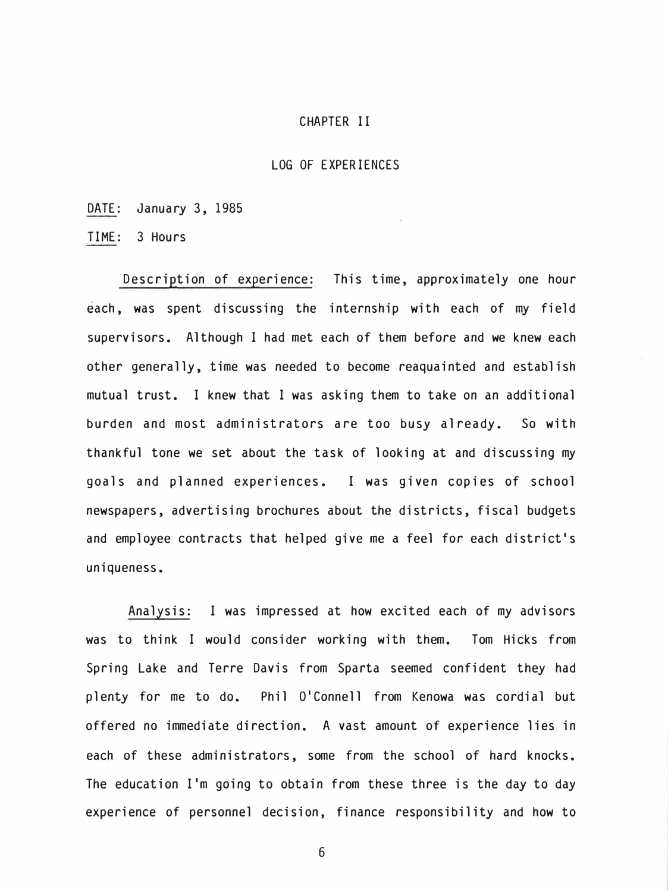#### CHAPTER II

#### LOG OF EXPERIENCES

DATE: January 3, 1985

TIME: 3 Hours

Description of experience: This time, approximately one hour each, was spent discussing the internship with each of my field supervisors. Although I had met each of them before and we knew each other generally, time was needed to become reaquainted and establish mutual trust. I knew that I was asking them to take on an additional burden and most administrators are too busy already. So with thankful tone we set about the task of looking at and discussing my goals and planned experiences. I was given copies of school newspapers, advertising brochures about the districts, fiscal budgets and employee contracts that helped give me a feel for each district's uniqueness.

Analysis: I was impressed at how excited each of my advisors was to think I would consider working with them. Tom Hicks from Spring Lake and Terre Davis from Sparta seemed confident they had plenty for me to do. Phil O'Connell from Kenowa was cordial but offered no immediate direction. A vast amount of experience lies in each of these administrators, some from the school of hard knocks. The education I'm going to obtain from these three is the day to day experience of personnel decision, finance responsibility and how to

6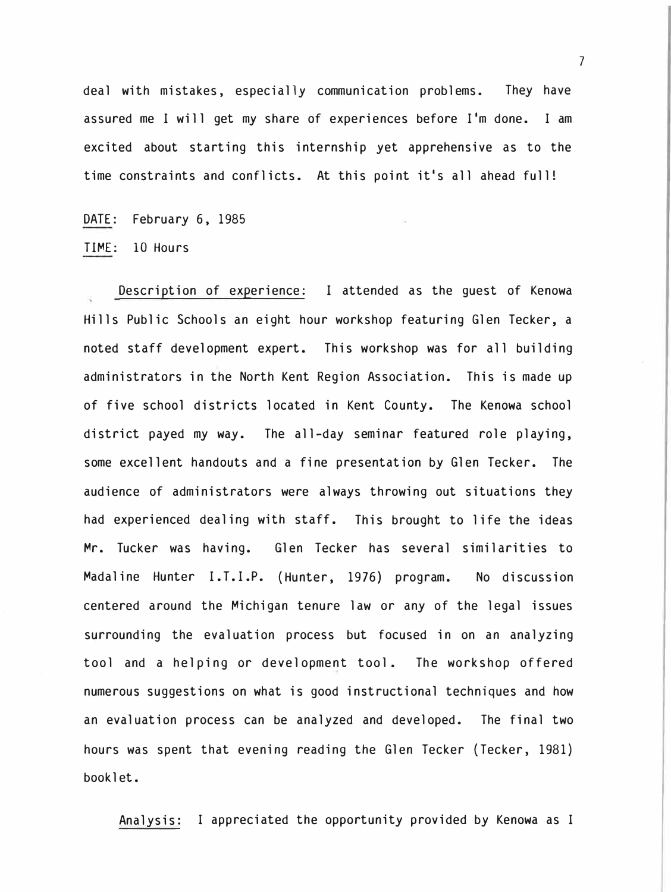deal with mistakes, especially communication problems. They have assured me I will get my share of experiences before I'm done. I am excited about starting this internship yet apprehensive as to the time constraints and conflicts. At this point it's all ahead full!

DATE: February 6, 1985

TIME: 10 Hours

Description of experience: I attended as the guest of Kenowa Hills Public Schools an eight hour workshop featuring Glen Tecker, a noted staff development expert. This workshop was for all building administrators in the North Kent Region Association. This is made up of five school districts located in Kent County. The Kenowa school district payed my way. The all-day seminar featured role playing, some excellent handouts and a fine presentation by Glen Tecker. The audience of administrators were always throwing out situations they had experienced dealing with staff. This brought to life the ideas Mr. Tucker was having. Glen Tecker has several similarities to Madaline Hunter I.T.I.P. (Hunter, 1976) program. No discussion centered around the Michigan tenure law or any of the legal issues surrounding the evaluation process but focused in on an analyzing tool and a helping or development tool. The workshop offered numerous suggestions on what is good instructional techniques and how an evaluation process can be analyzed and developed. The final two hours was spent that evening reading the Glen Tecker (Tecker, 1981) booklet.

Analysis: I appreciated the opportunity provided by Kenowa as I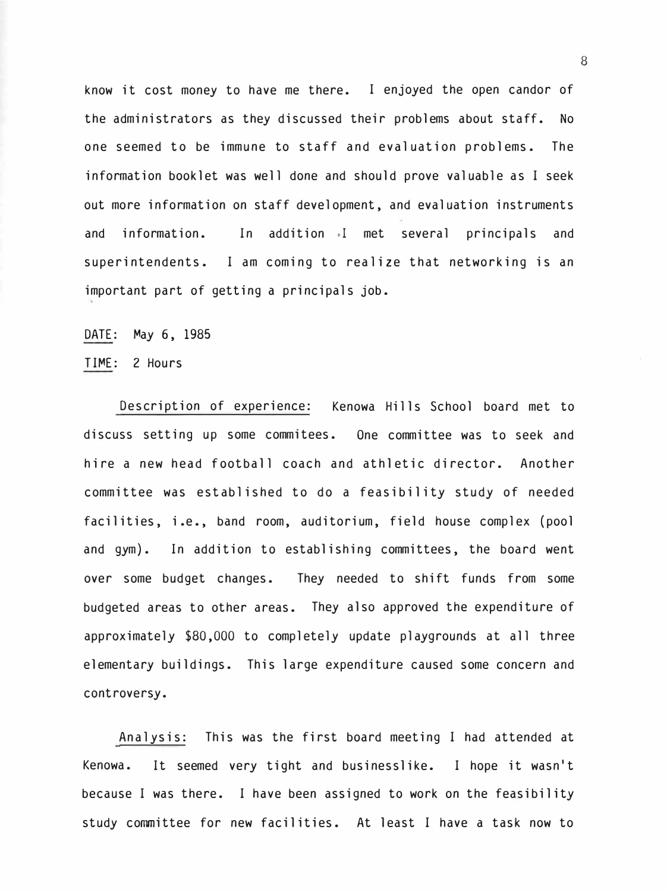know it cost money to have me there. I enjoyed the open candor of the administrators as they discussed their problems about staff. No one seemed to be immune to staff and evaluation problems. The information booklet was well done and should prove valuable as I seek out more information on staff development, and evaluation instruments and information. In addition .1 met several principals and superintendents. I am coming to realize that networking is an important part of getting a principals job.

DATE: May 6, 1985

TIME: 2 Hours

Description of experience: Kenowa Hills School board met to discuss setting up some commitees. One committee was to seek and hire a new head football coach and athletic director. Another committee was established to do a feasibility study of needed facilities, i.e., band room, auditorium, field house complex (pool and gym). In addition to establishing committees, the board went over some budget changes. They needed to shift funds from some budgeted areas to other areas. They also approved the expenditure of approximately \$80,000 to completely update playgrounds at all three elementary buildings. This large expenditure caused some concern and controversy.

Analysis: This was the first board meeting I had attended at Kenowa. It seemed very tight and businesslike. I hope it wasn't because I was there. I have been assigned to work on the feasibility study committee for new facilities. At least I have a task now to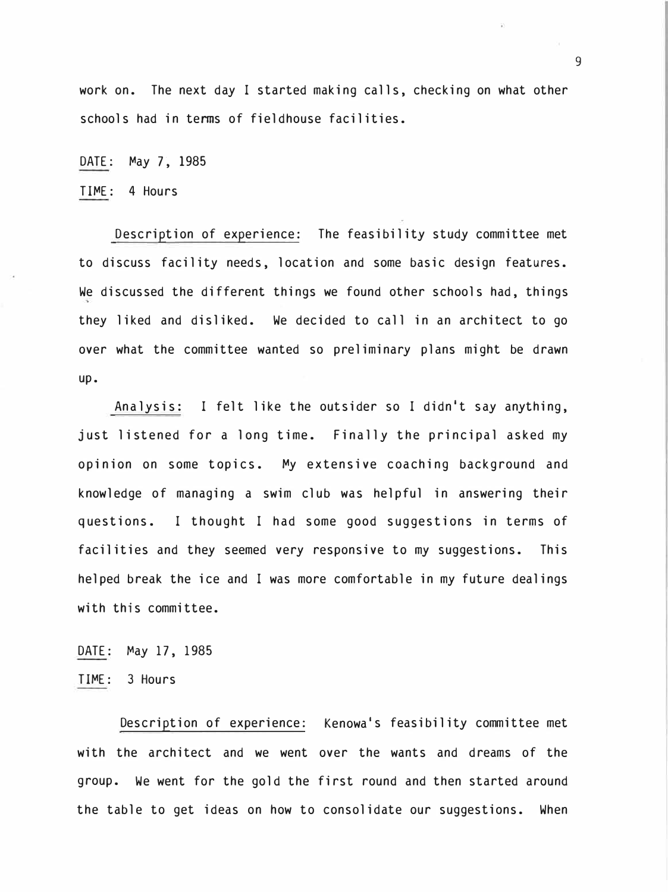work on. The next day I started making calls, checking on what other schools had in tenns of fieldhouse facilities.

DATE: May 7, 1985

TIME: 4 Hours

Description of experience: The feasibility study committee met to discuss facility needs, location and some basic design features. We discussed the different things we found other schools had, things they liked and disliked. We decided to call in an architect to go over what the committee wanted so preliminary plans might be drawn up.

Analysis: I felt like the outsider so I didn't say anything, just listened for a long time. Finally the principal asked my opinion on some topics. My extensive coaching background and knowledge of managing a swim club was helpful in answering their questions. I thought I had some good suggestions in terms of facilities and they seemed very responsive to my suggestions. This helped break the ice and I was more comfortable in my future dealings with this committee.

DATE: May 17, 1985

TIME: 3 Hours

Description of experience: Kenowa's feasibility committee met with the architect and we went over the wants and dreams of the group. We went for the gold the first round and then started around the table to get ideas on how to consolidate our suggestions. When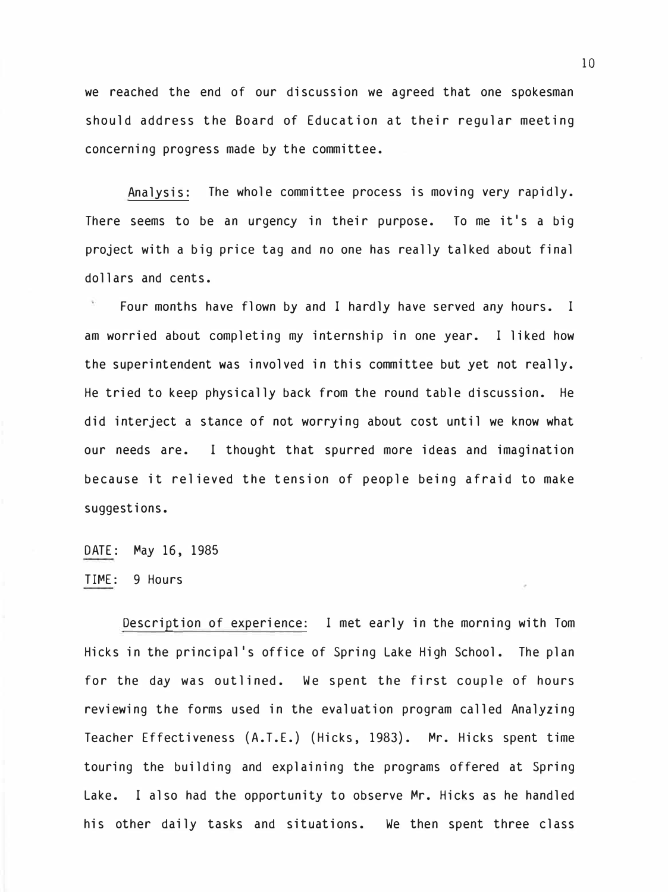we reached the end of our discussion we agreed that one spokesman should address the Board of Education at their regular meeting concerning progress made by the committee.

Analysis: The whole committee process is moving very rapidly. There seems to be an urgency in their purpose. To me it's a big project with a big price tag and no one has really talked about final dollars and cents.

Four months have flown by and I hardly have served any hours. I am worried about completing my internship in one year. I liked how the superintendent was involved in this committee but yet not really. He tried to keep physically back from the round table discussion. He did interject a stance of not worrying about cost until we know what our needs are. I thought that spurred more ideas and imagination because it relieved the tension of people being afraid to make suggestions.

#### DATE: May 16, 1985

#### TIME: 9 Hours

Description of experience: I met early in the morning with Tom Hicks in the principal's office of Spring Lake High School. The plan for the day was outlined. We spent the first couple of hours reviewing the forms used in the evaluation program called Analyzing Teacher Effectiveness (A.T.E.) (Hicks, 1983). Mr. Hicks spent time touring the building and explaining the programs offered at Spring Lake. I also had the opportunity to observe Mr. Hicks as he handled his other daily tasks and situations. We then spent three class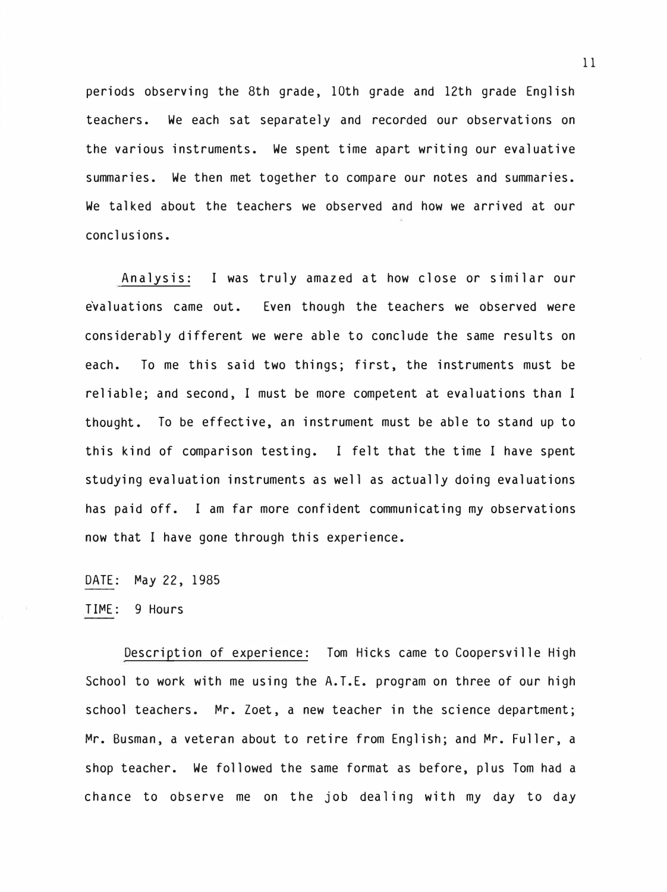periods observing the 8th grade, 10th grade and 12th grade English teachers. We each sat separately and recorded our observations on the various instruments. We spent time apart writing our evaluative summaries. We then met together to compare our notes and summaries. We talked about the teachers we observed and how we arrived at our conclusions.

Analysis: I was truly amazed at how close or similar our evaluations came out. Even though the teachers we observed were considerably different we were able to conclude the same results on each. To me this said two things; first, the instruments must be reliable; and second, I must be more competent at evaluations than I thought. To be effective, an instrument must be able to stand up to this kind of comparison testing. I felt that the time I have spent studying evaluation instruments as well as actually doing evaluations has paid off. I am far more confident communicating my observations now that I have gone through this experience.

DATE: �ay 22, 1985

TI�E: 9 Hours

Description of experience: Tom Hicks came to Coopersville High School to work with me using the A.T.E. program on three of our high school teachers. �r. Zoet, a new teacher in the science department; Mr. Busman, a veteran about to retire from English; and Mr. Fuller, a shop teacher. We followed the same format as before, plus Tom had a chance to observe me on the job dealing with my day to day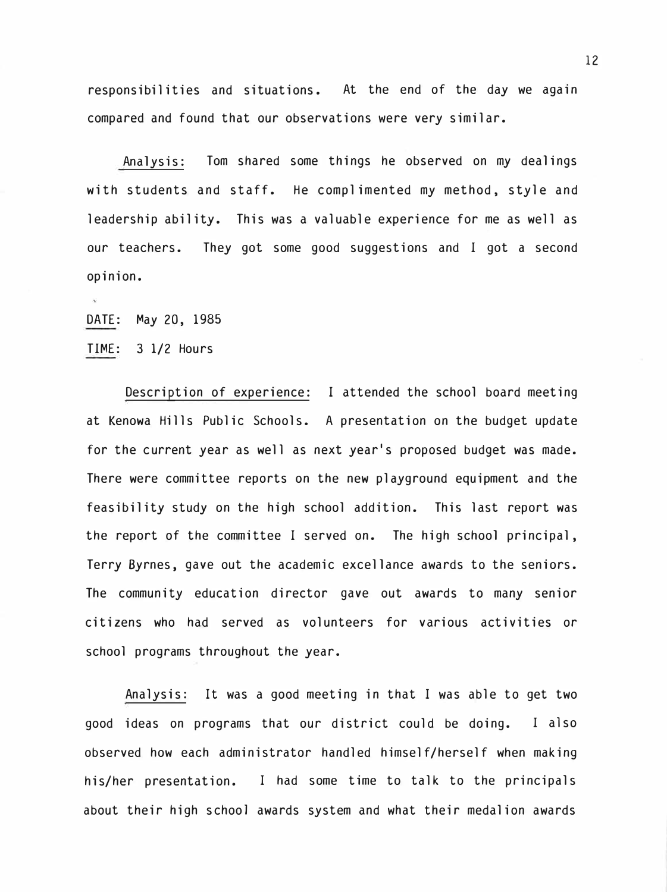responsibilities and situations. At the end of the day we again compared and found that our observations were very similar.

Analysis: Tom shared some things he observed on my dealings with students and staff. He complimented my method, style and leadership ability. This was a valuable experience for me as well as our teachers. They got some good suggestions and I got a second opinion.

DATE: May 20, 1985

TIME: 3 1/2 Hours

Description of experience: I attended the school board meeting at Kenowa Hills Public Schools. A presentation on the budget update for the current year as well as next year's proposed budget was made. There were committee reports on the new playground equipment and the feasibility study on the high school addition. This last report was the report of the committee I served on. The high school principal, Terry Byrnes, *gave* out the academic excellance awards to the seniors. The community education director *gave* out awards to many senior citizens who had served as volunteers for various activities or school programs throughout the year.

Analysis: It was a good meeting in that I was able to get two good ideas on programs that our district could be doing. I also observed how each administrator handled himself/herself when making his/her presentation. I had some time to talk to the principals about their high school awards system and what their medalion awards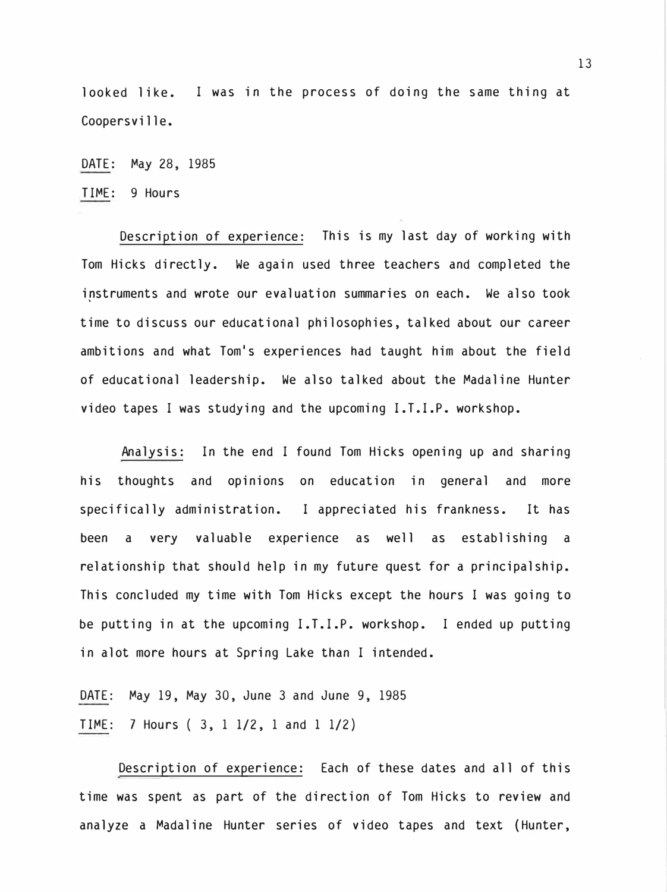looked like. I was in the process of doing the same thing at Coopersville.

DATE: �ay 28, 1985

TI�E: 9 Hours

Description of experience: This is my last day of working with Tom Hicks directly. We again used three teachers and completed the instruments and wrote our evaluation summaries on each. We also took time to discuss our educational philosophies, talked about our career ambitions and what Tom's experiences had taught him about the field of educational leadership. We also talked about the Madaline Hunter video tapes I was studying and the upcoming I.T.I.P. workshop.

Analysis: In the end I found Tom Hicks opening up and sharing his thoughts and opinions on education in general and more specifically administration. I appreciated his frankness. It has been a very valuable experience as well as establishing a relationship that should help in my future quest for a principalship. This concluded my time with Tom Hicks except the hours I was going to be putting in at the upcoming I.T.I.P. workshop. I ended up putting in alot more hours at Spring Lake than I intended.

DATE: �ay 19, �ay 30, June 3 and June 9, 1985  $TIME: 7$  Hours  $(3, 1, 1/2, 1, 1/2, 1/2)$ 

Description of experience: Each of these dates and all of this time was spent as part of the direction of Tom Hicks to review and analyze a �adaline Hunter series of video tapes and text (Hunter,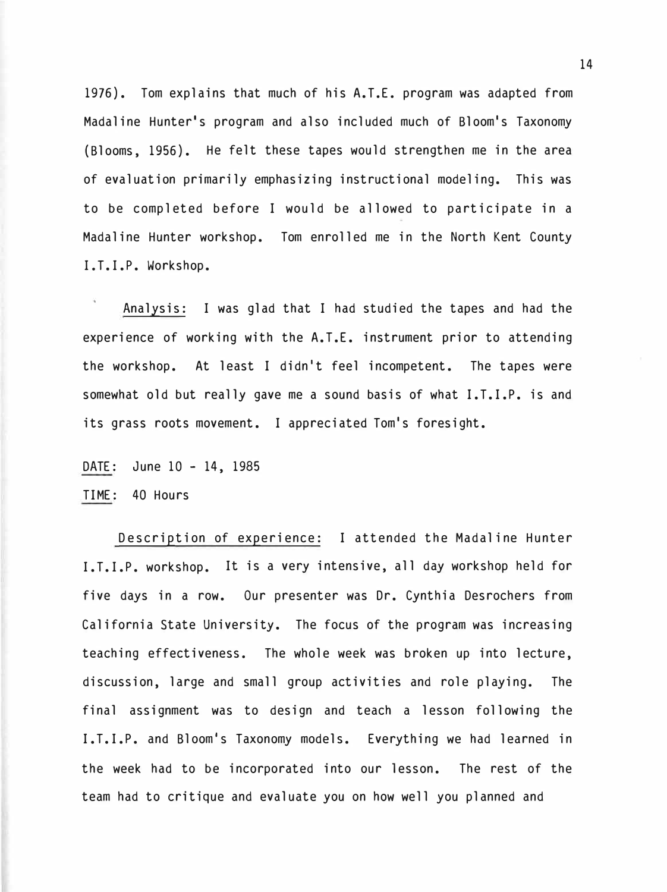1976). Tom explains that much of his A.T.E. program was adapted from Madaline Hunter's program and also included much of Bloom's Taxonomy (Blooms, 1956). He felt these tapes would strengthen me in the area of evaluation primarily emphasizing instructional modeling. This was to be completed before I would be allowed to participate in a Madaline Hunter workshop. Tom enrolled me in the North Kent County I.T.I.P. Workshop.

Analysis: I was glad that I had studied the tapes and had the experience of working with the A.T.E. instrument prior to attending the workshop. At least I didn't feel incompetent. The tapes were somewhat old but really gave me a sound basis of what I.T.I.P. is and its grass roots movement. I appreciated Tom's foresight.

DATE: June 10 - 14, 1985

TIME: 40 Hours

Description of experience: I attended the Madaline Hunter I.T.I.P. workshop. It is a very intensive, all day workshop held for five days in a row. Our presenter was Dr. Cynthia Desrochers from California State University. The focus of the program was increasing teaching effectiveness. The whole week was broken up into lecture, discussion, large and small group activities and role playing. The final assignment was to design and teach a lesson following the I.T.I.P. and Bloom's Taxonomy models. Everything we had learned in the week had to be incorporated into our lesson. The rest of the team had to critique and evaluate you on how well you planned and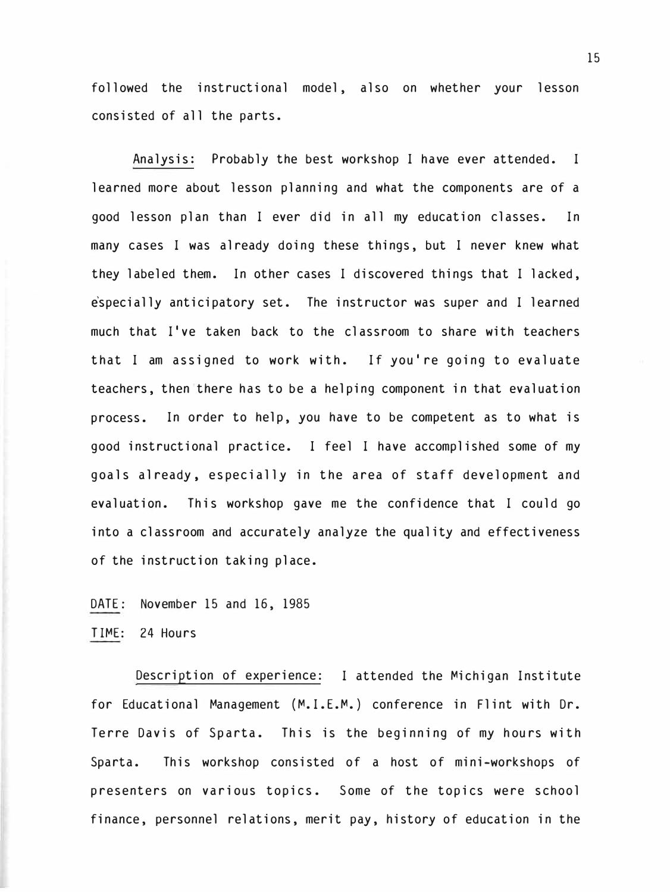followed the instructional model, also on whether your lesson consisted of all the parts.

Analysis: Probably the best workshop I have ever attended. I learned more about lesson planning and what the components are of a good lesson plan than I ever did in all my education classes. In many cases I was already doing these things, but I never knew what they labeled them. In other cases I discovered things that I lacked, especially anticipatory set. The instructor was super and I learned much that I've taken back to the classroom to share with teachers that I am assigned to work with. If you're going to evaluate teachers, then there has to be a helping component in that evaluation process. In order to help, you have to be competent as to what is good instructional practice. I feel I have accomplished some of my goals already, especially in the area of staff development and evaluation. This workshop gave me the confidence that I could go into a classroom and accurately analyze the quality and effectiveness of the instruction taking place.

DATE: November 15 and 16, 1985

TIME: 24 Hours

Description of experience: I attended the Michigan Institute for Educational Management (M.I.E.M.) conference in Flint with Dr. Terre Davis of Sparta. This is the beginning of my hours with Sparta. This workshop consisted of a host of mini-workshops of presenters on various topics. Some of the topics were school finance, personnel relations, merit pay, history of education in the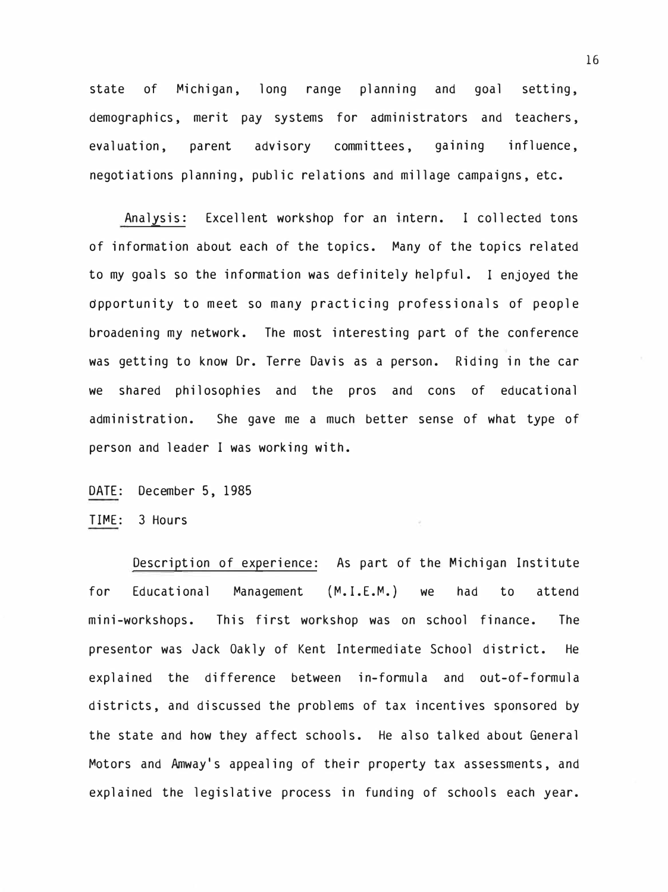state of Michigan, long range planning and goal setting, demographics, merit pay systems for administrators and teachers, evaluation, parent advisory committees, gaining influence, negotiations planning, public relations and millage campaigns, etc.

Analysis: Excellent workshop for an intern. I collected tons of information about each of the topics. Many of the topics related to my goals so the information was definitely helpful. I enjoyed the dpportunity to meet so many practicing professionals of people broadening my network. The most interesting part of the conference was getting to know Dr. Terre Davis as a person. Riding in the car we shared philosophies and the pros and cons of educational administration. She gave me a much better sense of what type of person and leader I was working with.

- DATE: December 5, 1985
- TIME: 3 Hours

Description of experience: As part of the Michigan Institute for Educational Management (M.I.E.M.) we had to attend mini-workshops. This first workshop was on school finance. The presentor was Jack Oakly of Kent Intermediate School district. He explained the difference between in-formula and out-of-formula districts, and discussed the problems of tax incentives sponsored by the state and how they affect schools. He also talked about General Motors and Amway's appealing of their property tax assessments, and explained the legislative process in funding of schools each year.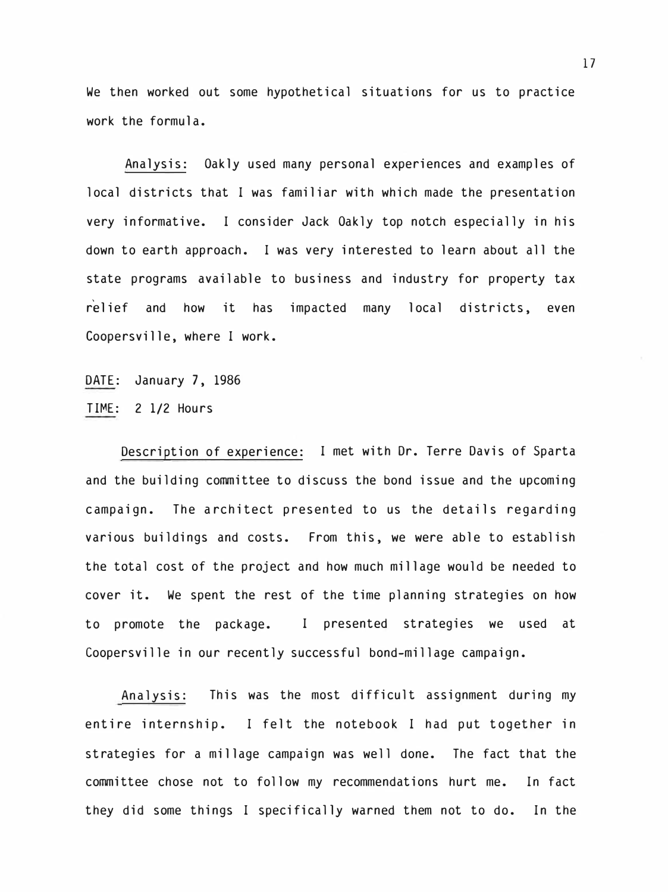We then worked out some hypothetical situations for us to practice work the formula.

Analysis: Oakly used many personal experiences and examples of local districts that I was familiar with which made the presentation very informative. I consider Jack Oakly top notch especially in his down to earth approach. I was very interested to learn about all the state programs available to business and industry for property tax relief and how it has impacted many local districts, even Coopersville, where I work.

DATE: January 7, 1986 TIME: 2 1/2 Hours

Description of experience: I met with Dr. Terre Davis of Sparta and the building committee to discuss the bond issue and the upcoming campaign. The architect presented to us the details regarding various buildings and costs. From this, we were able to establish the total cost of the project and how much millage would be needed to cover it. We spent the rest of the time planning strategies on how to promote the package. I presented strategies we used at Coopersville in our recently successful bond-millage campaign.

Analysis: This was the most difficult assignment during my entire internship. I felt the notebook I had put together in strategies for a millage campaign was well done. The fact that the committee chose not to follow my recommendations hurt me. In fact they did some things I specifically warned them not to do. In the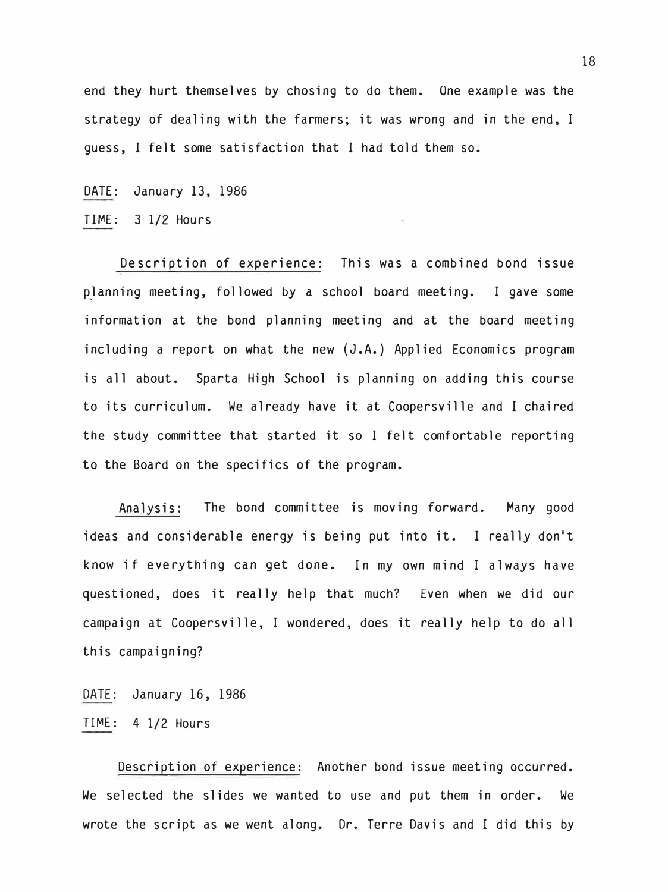end they hurt themselves by chosing to do them. One example was the strategy of dealing with the farmers; it was wrong and in the end, I guess, I felt some satisfaction that I had told them so.

DATE: January 13, 1986

TI�E: 3 1/2 Hours

Description of experience: This was a combined bond issue planning meeting, followed by a school board meeting. I gave some information at the bond planning meeting and at the board meeting including a report on what the new (J.A.) Applied Economics program is all about. Sparta High School is planning on adding this course to its curriculum. We already have it at Coopersville and I chaired the study committee that started it so I felt comfortable reporting to the Board on the specifics of the program.

Analysis: The bond committee is moving forward. Many good ideas and considerable energy is being put into it. I really don't know if everything can get done. In my own mind I always have questioned, does it really help that much? Even when we did our campaign at Coopersville, I wondered, does it really help to do all this campaigning?

DATE: January 16, 1986 TI�E: 4 1/2 Hours

Description of experience: Another bond issue meeting occurred. We selected the slides we wanted to use and put them in order. We wrote the script as we went along. Dr. Terre Davis and I did this by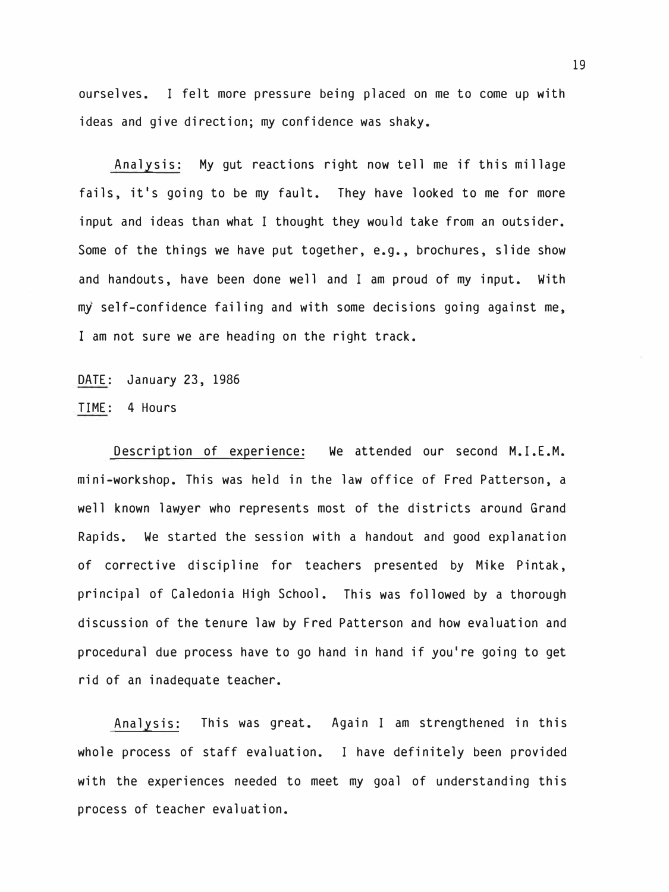ourselves. I felt more pressure being placed on me to come up with ideas and give direction; my confidence was shaky.

Analysis: My gut reactions right now tell me if this millage fails, it's going to be my fault. They have looked to me for more input and ideas than what I thought they would take from an outsider. Some of the things we have put together, e.g., brochures, slide show and handouts, have been done well and I am proud of my input. With my self-confidence failing and with some decisions going against me, I am not sure we are heading on the right track.

DATE: January 23, 1986 TIME: 4 Hours

Description of experience: We attended our second M.I.E.M. mini-workshop. This was held in the law office of Fred Patterson, a well known lawyer who represents most of the districts around Grand Rapids. We started the session with a handout and good explanation of corrective discipline for teachers presented by Mike Pintak, principal of Caledonia High School. This was followed by a thorough discussion of the tenure law by Fred Patterson and how evaluation and procedural due process have to go hand in hand if you're going to get rid of an inadequate teacher.

Analysis: This was great. Again I am strengthened in this whole process of staff evaluation. I have definitely been provided with the experiences needed to meet my goal of understanding this process of teacher evaluation.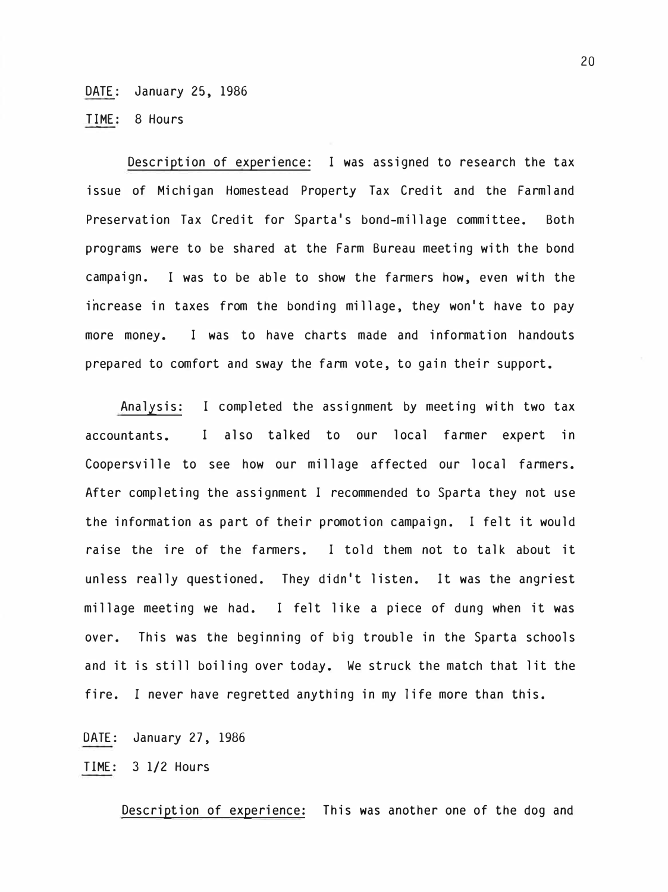#### DATE: January 25, 1986

TIME: 8 Hours

Description of experience: I was assigned to research the tax issue of Michigan Homestead Property Tax Credit and the Farmland Preservation Tax Credit for Sparta's bond-millage committee. Both programs were to be shared at the Farm Bureau meeting with the bond campaign. I was to be able to show the farmers how, even with the increase in taxes from the bonding millage, they won't have to pay more money. I was to have charts made and information handouts prepared to comfort and sway the farm vote, to gain their support.

Analysis: I completed the assignment by meeting with two tax accountants. I also talked to our local farmer expert in Coopersville to see how our millage affected our local farmers. After completing the assignment I recommended to Sparta they not use the information as part of their promotion campaign. I felt it would raise the ire of the farmers. I told them not to talk about it unless really questioned. They didn't listen. It was the angriest millage meeting we had. I felt like a piece of dung when it was over. This was the beginning of big trouble in the Sparta schools and it is still boiling over today. We struck the match that lit the fire. I never have regretted anything in my life more than this.

DATE: January 27, 1986

TIME: 3 1/2 Hours

Description of experience: This was another one of the dog and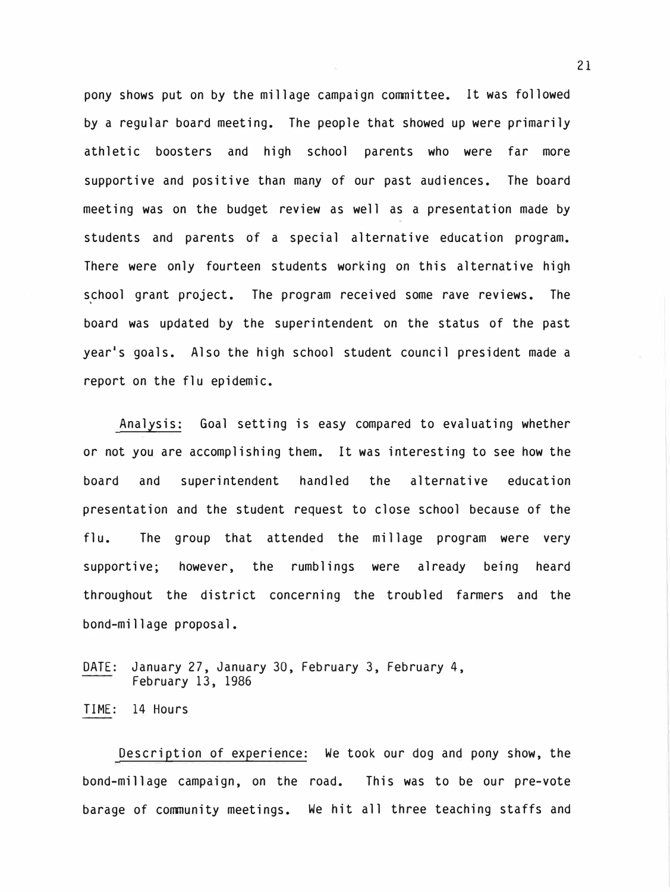pony shows put on by the millage campaign committee. It was followed by a regular board meeting. The people that showed up were primarily athletic boosters and high school parents who were far more supportive and positive than many of our past audiences. The board meeting was on the budget review as well as a presentation made by students and parents of a special alternative education program. There were only fourteen students working on this alternative high school grant project. The program received some rave reviews. The board was updated by the superintendent on the status of the past year's goals. Also the high school student council president made a report on the flu epidemic.

Analysis: Goal setting is easy compared to evaluating whether or not you are accomplishing them. It was interesting to see how the board and superintendent handled the alternative education presentation and the student request to close school because of the flu. The group that attended the millage program were very supportive; however, the rumblings were already being heard throughout the district concerning the troubled farmers and the bond-millage proposal.

DATE: January 27, January 30, February 3, February 4, February 13, 1986

TIME: 14 Hours

Description of experience: We took our dog and pony show, the bond-millage campaign, on the road. This was to be our pre-vote barage of community meetings. We hit all three teaching staffs and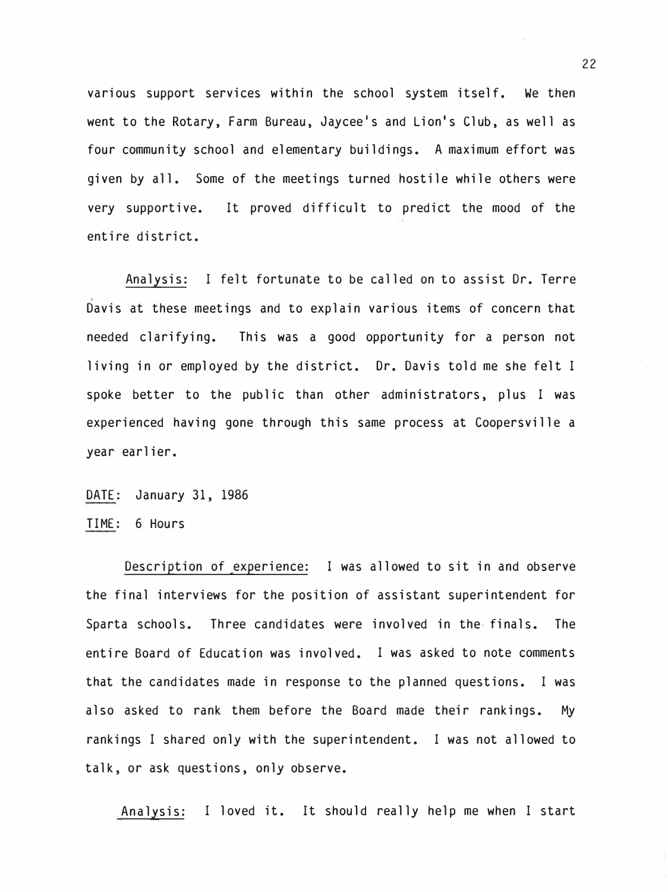various support services within the school system itself. We then went to the Rotary, Farm Bureau, Jaycee's and Lion's Club, as well as four community school and elementary buildings. A maximum effort was given by all. Some of the meetings turned hostile while others were very supportive. entire district. It proved difficult to predict the mood of the

Analysis: I felt fortunate to be called on to assist Dr. Terre Davis at these meetings and to explain various items of concern that needed clarifying. This was a good opportunity for a person not living in or employed by the district. Dr. Davis told me she felt I spoke better to the public than other administrators, plus I was experienced having gone through this same process at Coopersville a year earlier.

DATE: January 31, 1986 TIME: 6 Hours

Description of experience: I was allowed to sit in and observe the final interviews for the position of assistant superintendent for Sparta schools. Three candidates were involved in the- finals. The entire Board of Education was involved. I was asked to note comments that the candidates made in response to the planned questions. I was also asked to rank them before the Board made their rankings. My rankings I shared only with the superintendent. I was not allowed to talk, or ask questions, only observe.

Analysis: I loved it. It should really help me when I start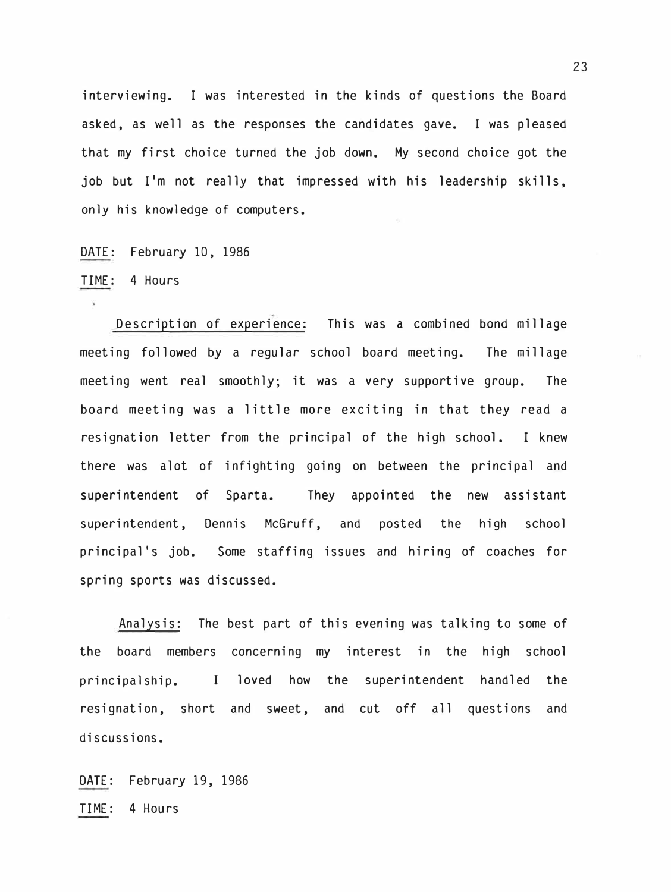interviewing. I was interested in the kinds of questions the Board asked, as well as the responses the candidates gave. I was pleased that my first choice turned the job down. My second choice got the job but I'm not really that impressed with his leadership skills, only his knowledge of computers.

DATE: February 10, 1986

TIME: 4 Hours

Description of experience: This was a combined bond millage meeting followed by a regular school board meeting. The millage meeting went real smoothly; it was a very supportive group. The board meeting was a little more exciting in that they read a resignation letter from the principal of the high school. I knew there was alot of infighting going on between the principal and superintendent of Sparta. They appointed the new assistant superintendent, Dennis McGruff, and posted the high school principal 's job. Some staffing issues and hiring of coaches for spring sports was discussed.

Analysis: The best part of this evening was talking to some of the board members concerning my interest in the high school principalship. I loved how the superintendent handled the resignation, short and sweet, and cut off all questions and discussions.

DATE: February 19, 1986 TIME: 4 Hours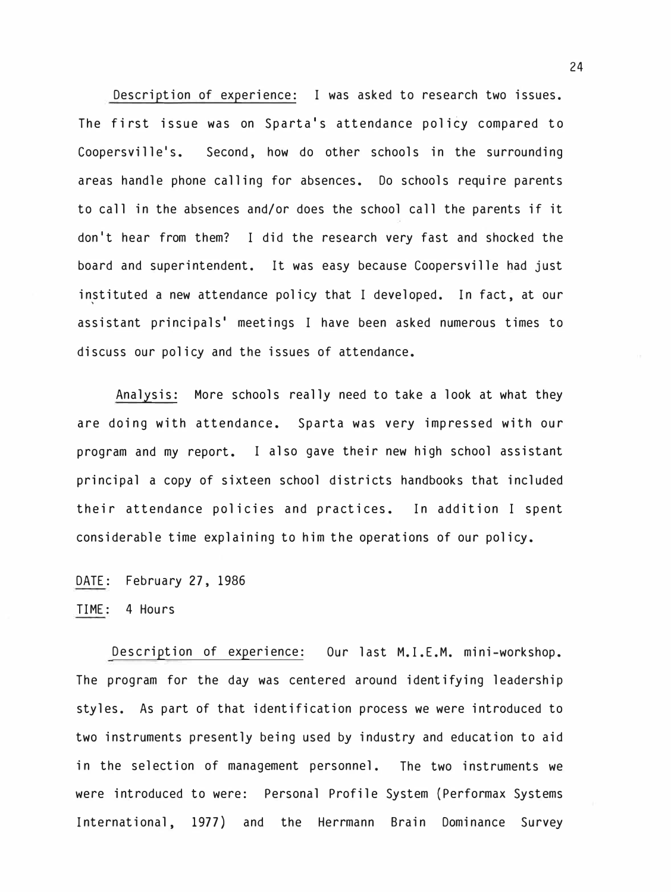Description of experience: I was asked to research two issues. The first issue was on Sparta's attendance policy compared to Coopersville's. Second, how do other schools in the surrounding areas handle phone calling for absences. Do schools require parents to call in the absences and/or does the school call the parents if it don <sup>I</sup> t hear from them? I did the research very fast and shocked the board and superintendent. It was easy because Coopersville had just instituted a new attendance policy that I developed. In fact, at our assistant principals' meetings I have been asked numerous times to discuss our policy and the issues of attendance.

Analysis: More schools really need to take a look at what they are doing with attendance. Sparta was very impressed with our program and my report. I also gave their new high school assistant principal a copy of sixteen school districts handbooks that included their attendance policies and practices. In addition I spent considerable time explaining to him the operations of our policy.

DATE: February 27, 1986

TIME: 4 Hours

Description of experience: Our last M.I.E.M. mini-workshop. The program for the day was centered around identifying leadership styles. As part of that identification process we were introduced to two instruments presently being used by industry and education to aid in the selection of management personnel. The two instruments we were introduced to were: Personal Profile System (Performax Systems International, 1977) and the Herrmann Brain Dominance Survey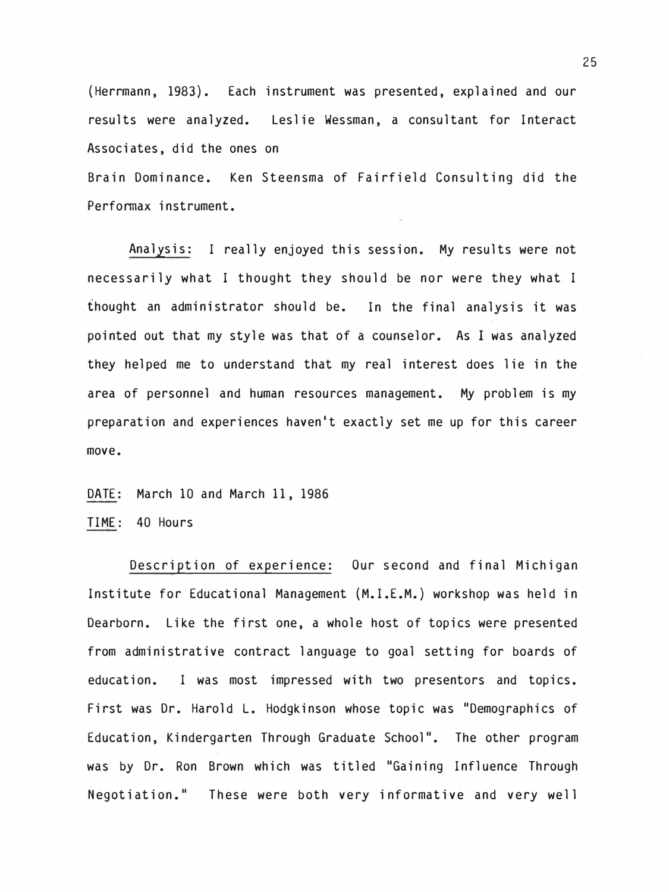(Herrmann, 1983). Each instrument was presented, explained and our results were analyzed. Leslie Wessman, a consultant for Interact Associates, did the ones on

Brain Dominance. Ken Steensma of Fairfield Consulting did the Performax instrument.

Analysis: I really enjoyed this session. My results were not necessarily what I thought they should be nor were they what I thought an administrator should be. In the final analysis it was pointed out that my style was that of a counselor. As I was analyzed they helped me to understand that my real interest does lie in the area of personnel and human resources management. My problem is my preparation and experiences haven't exactly set me up for this career move.

DATE: March 10 and March 11, 1986 TIME: 40 Hours

Description of experience: Our second and final Michigan Institute for Educational Management (M.I.E.M.) workshop was held in Dearborn. Like the first one, a whole host of topics were presented from administrative contract language to goal setting for boards of education. I was most impressed with two presentors and topics. First was Dr. Harold L. Hodgkinson whose topic was "Demographics of Education, Kindergarten Through Graduate School". The other program was by Dr. Ron Brown which was titled "Gaining Influence Through Negotiation." These were both very informative and very well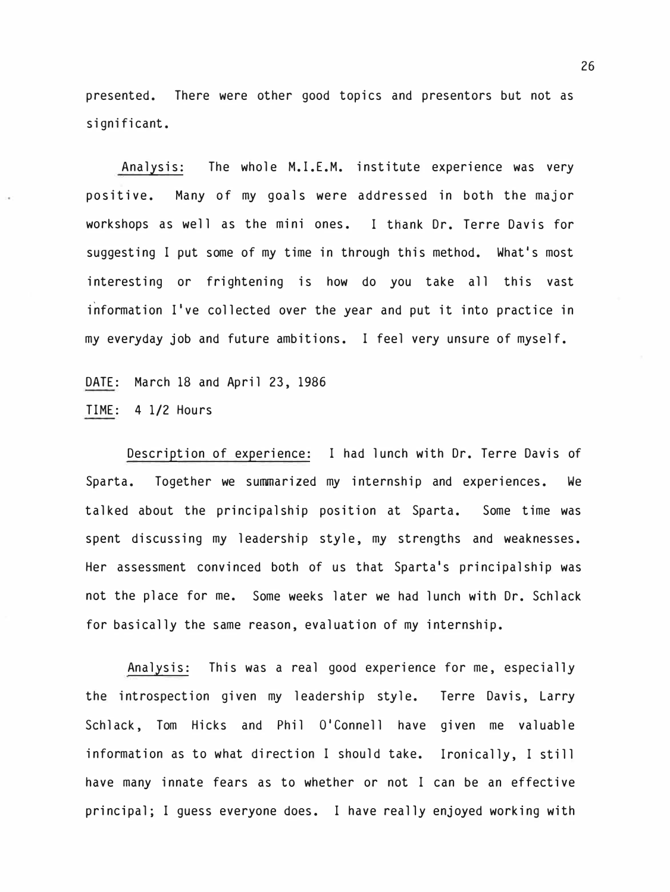presented. There were other good topics and presentors but not as significant.

Analysis: The whole M.I.E.M. institute experience was very positive. Many of my goals were addressed in both the major workshops as well as the mini ones. I thank Dr. Terre Davis for suggesting I put some of my time in through this method. What's most interesting or frightening is how do you take all this vast information I've collected over the year and put it into practice in my everyday job and future ambitions. I feel very unsure of myself.

DATE: March 18 and April 23, 1986 TIME: 4 1/2 Hours

Description of experience: I had lunch with Dr. Terre Davis of Sparta. Together we summarized my internship and experiences. We talked about the principalship position at Sparta. Some time was spent discussing my leadership style, my strengths and weaknesses. Her assessment convinced both of us that Sparta's principalship was not the place for me. Some weeks later we had lunch with Dr. Schlack for basically the same reason, evaluation of my internship.

Analysis: This was a real good experience for me, especially the introspection given my leadership style. Terre Davis, Larry Schlack, Tom Hicks and Phil O'Connell have given me valuable information as to what direction I should take. Ironically, I still have many innate fears as to whether or not I can be an effective principal; I guess everyone does. I have really enjoyed working with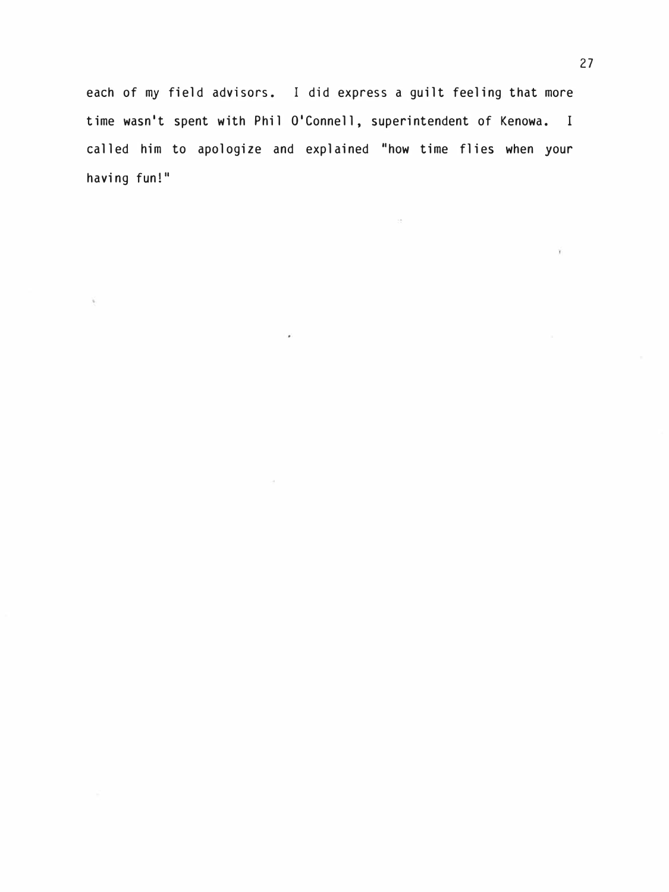each of my field advisors. I did express a guilt feeling that more time wasn't spent with Phil O'Connell, superintendent of Kenowa. I called him to apologize and explained "how time flies when your having fun!"

×

 $\alpha$ 

Ý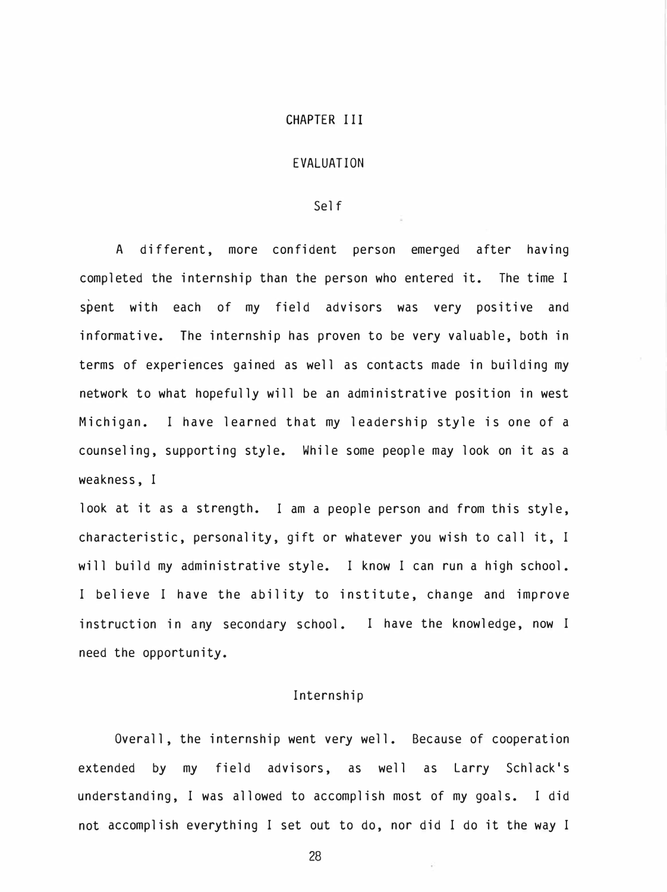#### CHAPTER III

#### EVALUATION

#### Self

A different, more confident person emerged after having completed the internship than the person who entered it. The time I spent with each of my field advisors was very positive and informative. The internship has proven to be very valuable, both in terms of experiences gained as well as contacts made in building my network to what hopefully will be an administrative position in west Michigan. I have learned that my leadership style is one of a counseling, supporting style. While some people may look on it as a weakness, I

look at it as a strength. I am a people person and from this style, characteristic, personality, gift or whatever you wish to call it, I will build my administrative style. I know I can run a high school. I believe I have the ability to institute, change and improve instruction in any secondary school. I have the knowledge, now I need the opportunity.

#### Internship

Overall, the internship went very well. Because of cooperation extended by my field advisors, as well as Larry Schlack's understanding, I was allowed to accomplish most of my goals. I did not accomplish everything I set out to do, nor did I do it the way I

28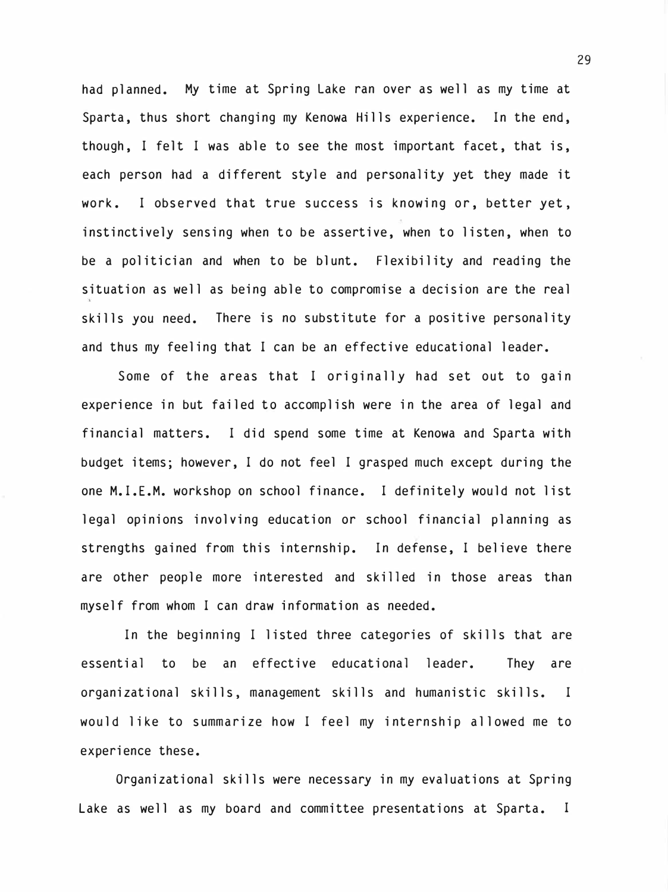had planned. My time at Spring Lake ran over as well as my time at Sparta, thus short changing my Kenowa Hills experience. In the end, though, I felt I was able to see the most important facet, that is, each person had a different style and personality yet they made it work. I observed that true success is knowing or, better yet, instinctively sensing when to be assertive, when to listen, when to be a politician and when to be blunt. Flexibility and reading the situation as well as being able to compromise a decision are the real skills you need. There is no substitute for a positive personality and thus my feeling that I can be an effective educational leader.

Some of the areas that I originally had set out to gain experience in but failed to accomplish were in the area of legal and financial matters. I did spend some time at Kenowa and Sparta with budget items; however, I do not feel I grasped much except during the one M.I.E.M. workshop on school finance. I definitely would not list legal opinions involving education or school financial planning as strengths gained from this internship. In defense, I believe there are other people more interested and skilled in those areas than myself from whom I can draw information as needed.

In the beginning I listed three categories of skills that are essential to be an effective educational leader. They are organizational skills, management skills and humanistic skills. I would like to summarize how I feel my internship allowed me to experience these.

Organizational skills were necessary in my evaluations at Spring Lake as well as my board and committee presentations at Sparta. I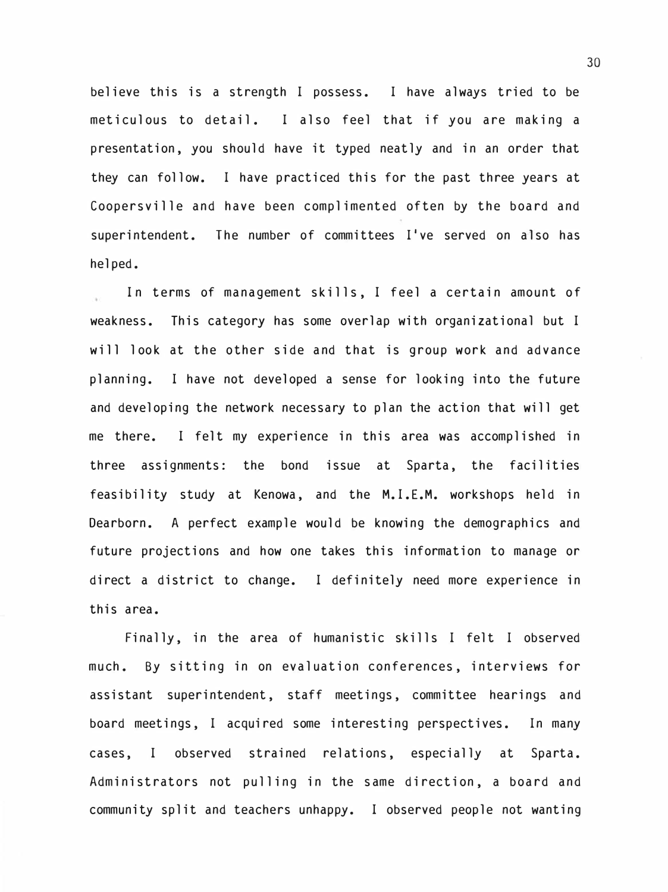believe this is a strength I possess. I have always tried to be meticulous to detail. I also feel that if you are making a presentation, you should have it typed neatly and in an order that they can follow. I have practiced this for the past three years at Coopersville and have been complimented often by the board and superintendent. The number of committees  $I'$ ve served on also has helped.

In terms of management skills, I feel a certain amount of weakness. This category has some overlap with organizational but I will look at the other side and that is group work and advance planning. I have not developed a sense for looking into the future and developing the network necessary to plan the action that will get me there. I felt my experience in this area was accomplished in three assignments: the bond issue at Sparta, the facilities feasibility study at Kenowa, and the M.I.E.M. workshops held in Dearborn. A perfect example would be knowing the demographics and future projections and how one takes this information to manage or direct a district to change. I definitely need more experience in this area.

Finally, in the area of humanistic skills I felt I observed much. By sitting in on evaluation conferences, interviews for assistant superintendent, staff meetings, committee hearings and board meetings, I acquired some interesting perspectives. In many cases, I observed strained relations, especially at Sparta. Administrators not pulling in the same direction, a board and community split and teachers unhappy. I observed people not wanting

30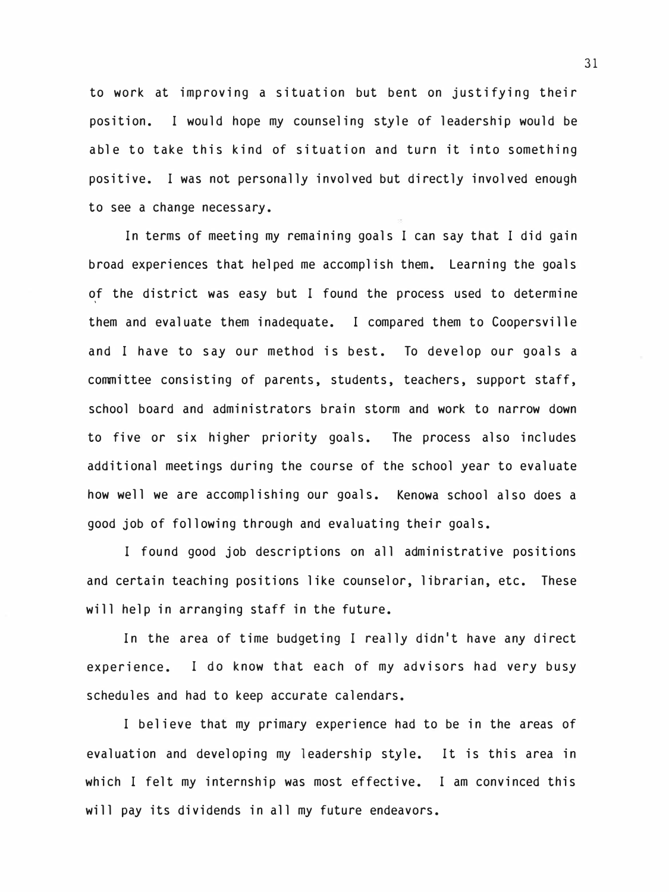to work at improving a situation but bent on justifying their position. I would hope my counseling style of leadership would be able to take this kind of situation and turn it into something positive. I was not personally involved but directly involved enough to see a change necessary.

In terms of meeting my remaining goals I can say that I did gain broad experiences that helped me accomplish them. Learning the goals of the district was easy but I found the process used to determine them and evaluate them inadequate. I compared them to Coopersville and I have to say our method is best. To develop our goals a conmittee consisting of parents, students, teachers, support staff, school board and administrators brain storm and work to narrow down to five or six higher priority goals. The process also includes additional meetings during the course of the school year to evaluate how well we are accomplishing our goals. Kenowa school also does a good job of following through and evaluating their goals.

I found good job descriptions on all administrative positions and certain teaching positions like counselor, librarian, etc. These will help in arranging staff in the future.

In the area of time budgeting I really didn't have any direct experience. I do know that each of my advisors had very busy schedules and had to keep accurate calendars.

I believe that my primary experience had to be in the areas of evaluation and developing my leadership style. It is this area in which I felt my internship was most effective. I am convinced this will pay its dividends in all my future endeavors.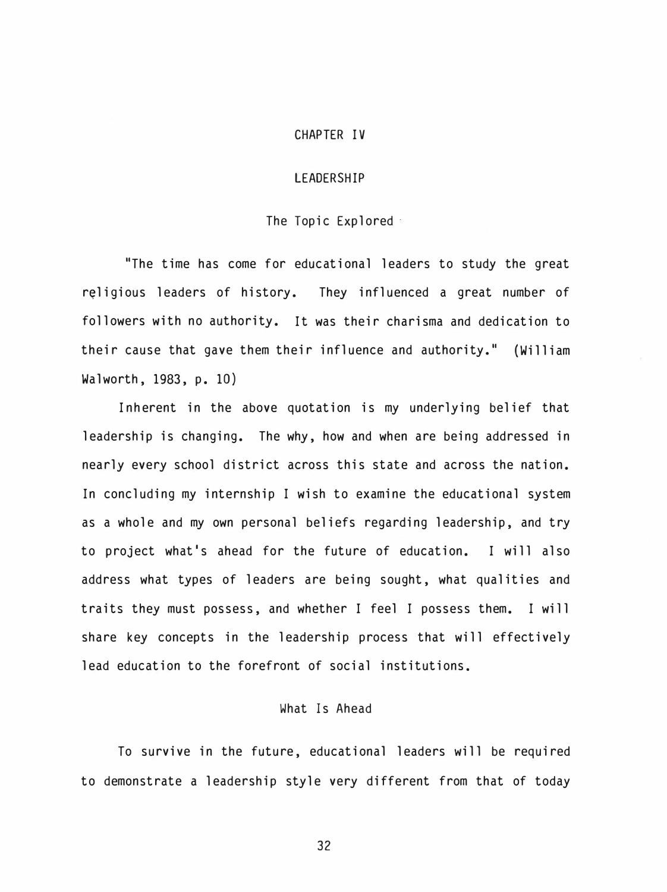#### CHAPTER IV

#### LEADERSHIP

#### The Topic Explored

"The time has come for educational leaders to study the great religious leaders of history. They influenced a great number of followers with no authority. It was their charisma and dedication to their cause that gave them their influence and authority." (William Walworth, 1983, p. 10)

Inherent in the above quotation is my underlying belief that leadership is changing. The why, how and when are being addressed in nearly every school district across this state and across the nation. In concluding my internship I wish to examine the educational system as a whole and my own personal beliefs regarding leadership, and try to project what's ahead for the future of education. I will also address what types of leaders are being sought, what qualities and traits they must possess, and whether I feel I possess them. I will share key concepts in the leadership process that will effectively lead education to the forefront of social institutions.

#### What Is Ahead

To survive in the future, educational leaders will be required to demonstrate a leadership style very different from that of today

32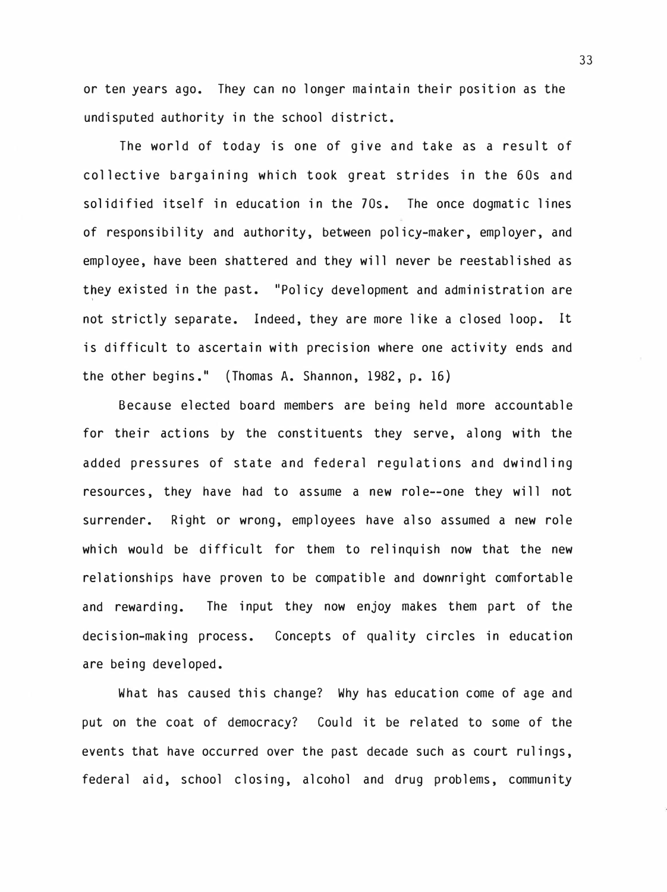or ten years ago. They can no longer maintain their position as the undisputed authority in the school district.

The world of today is one of give and take as a result of collective bargaining which took great strides in the 60s and solidified itself in education in the 70s. The once dogmatic lines of responsibility and authority, between policy-maker, employer, and employee, have been shattered and they will never be reestablished as they existed in the past. "Policy development and administration are not strictly separate. Indeed, they are more like a closed loop. It is difficult to ascertain with precision where one activity ends and the other begins." (Thomas A. Shannon,  $1982$ , p. 16)

Because elected board members are being held more accountable for their actions by the constituents they serve, along with the added pressures of state and federal regulations and dwindling resources, they have had to assume a new role--one they will not surrender. Right or wrong, employees have also assumed a new role which would be difficult for them to relinquish now that the new relationships have proven to be compatible and downright comfortable and rewarding. The input they now enjoy makes them part of the decision-making process. Concepts of quality circles in education are being developed.

What has caused this change? Why has education come of age and put on the coat of democracy? Could it be related to some of the events that have occurred over the past decade such as court rulings, federal aid, school closing, alcohol and drug problems, community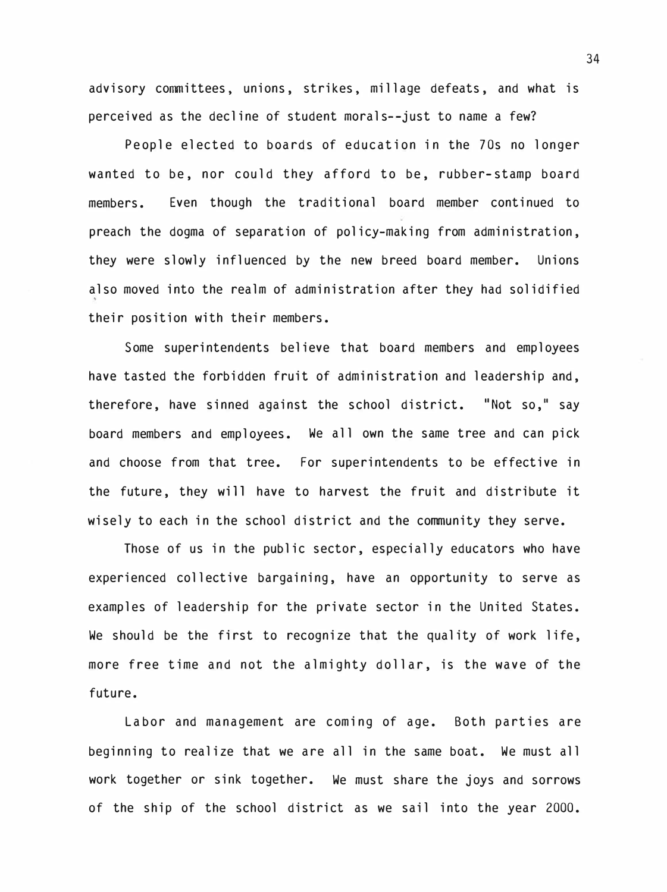advisory committees, unions, strikes, millage defeats, and what is perceived as the decline of student morals--just to name a few?

People elected to boards of education in the 70s no longer wanted to be, nor could they afford to be, rubber-stamp board members. Even though the traditional board member continued to preach the dogma of separation of policy-making from administration, they were slowly influenced by the new breed board member. Unions also moved into the realm of administration after they had solidified their position with their members.

Some superintendents believe that board members and employees have tasted the forbidden fruit of administration and leadership and, therefore, have sinned against the school district. "Not so,**11** say board members and employees. We all own the same tree and can pick and choose from that tree. For superintendents to be effective in the future, they will have to harvest the fruit and distribute it wisely to each in the school district and the community they serve.

Those of us in the public sector, especially educators who have experienced collective bargaining, have an opportunity to serve as examples of leadership for the private sector in the United States. We should be the first to recognize that the quality of work life, more free time and not the almighty dollar, is the wave of the future.

La bor and management are coming of age. Both parties are beginning to realize that we are all in the same boat. We must all work together or sink together. We must share the joys and sorrows of the ship of the school district as we sail into the year 2000.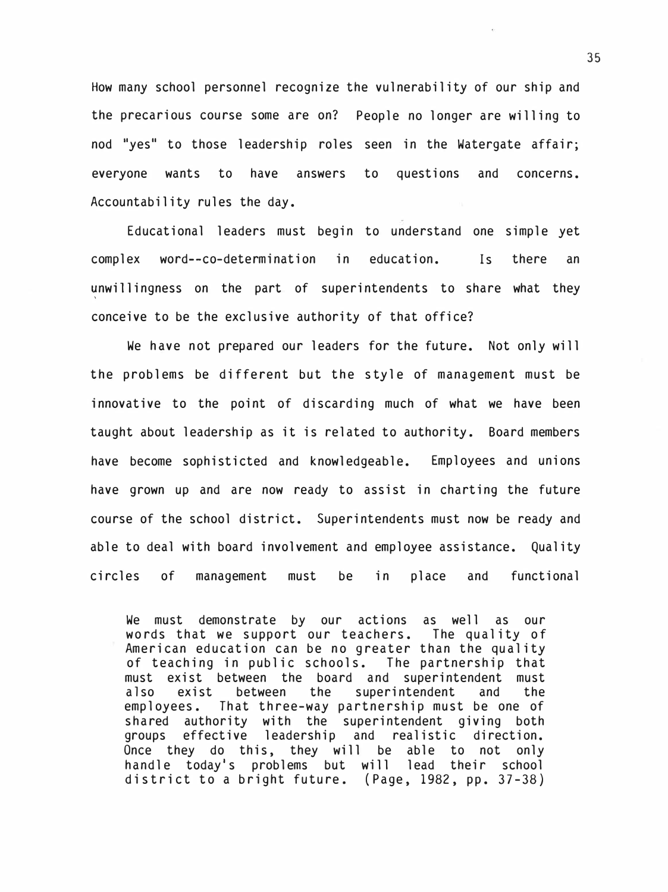How many school personnel recognize the vulnerability of our ship and the precarious course some are on? People no longer are willing to nod "yes" to those leadership roles seen in the Watergate affair; everyone wants to have answers to questions and concerns. Accountability rules the day.

Educational leaders must begin to understand one simple yet complex word--co-determination in education. Is there an unwillingness on the part of superintendents to share what they conceive to be the exclusive authority of that office?

We have not prepared our leaders for the future. Not only will the problems be different but the style of management must be innovative to the point of discarding much of what we have been taught about leadership as it is related to authority. Board members have become sophisticted and knowledgeable. Employees and unions have grown up and are now ready to assist in charting the future course of the school district. Superintendents must now be ready and able to deal with board involvement and employee assistance. Quality circles of management must be in place and functional

We must demonstrate by our actions as well as our words that we support our teachers. The quality of American education can be no greater than the quality of teaching in public schools. The partnership that must exist between the board and superintendent must<br>also exist between the superintendent and the also exist between the superintendent and the employees. That three-way partnership must be one of shared authority with the superintendent giving both groups effective leadership and realistic direction.<br>Once they do this, they will be able to not only Once they do this, they will be able to not handle today's problems but will lead their school district to a bright future. (Page, 1982, pp. 37-38)

35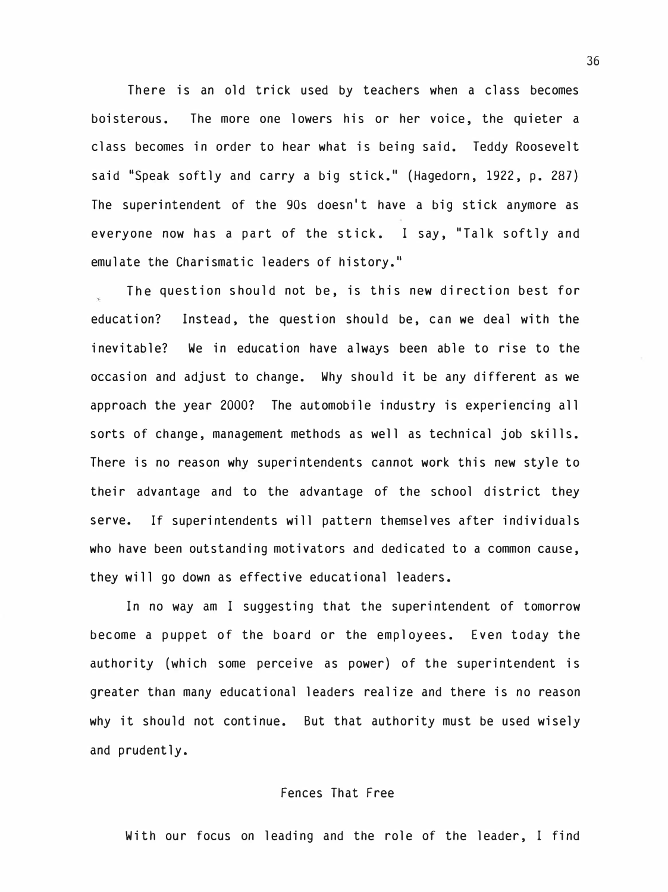There is an old trick used by teachers when a class becomes boisterous. The more one lowers his or her voice, the quieter a class becomes in order to hear what is being said. Teddy Roosevelt said "Speak softly and carry a big stick." (Hagedorn, 1922, p. 287) The superintendent of the 90s doesn't have a big stick anymore as everyone now has a part of the stick. I say, "Talk softly and emulate the Charismatic leaders of history."

The question should not be, is this new direction best for education? Instead, the question should be, can we deal with the inevitable? We in education have always been able to rise to the occasion and adjust to change. Why should it be any different as we approach the year 2000? The automobile industry is experiencing all sorts of change, management methods as well as technical job skills. There is no reason why superintendents cannot work this new style to their advantage and to the advantage of the school district they serve. If superintendents will pattern themselves after individuals who have been outstanding motivators and dedicated to a common cause, they will go down as effective educational leaders.

In no way am I suggesting that the superintendent of tomorrow become a puppet of the board or the employees. Even today the authority (which some perceive as power) of the superintendent is greater than many educational leaders realize and there is no reason why it should not continue. But that authority must be used wisely and prudently.

#### Fences That Free

With our focus on leading and the role of the leader, I find

36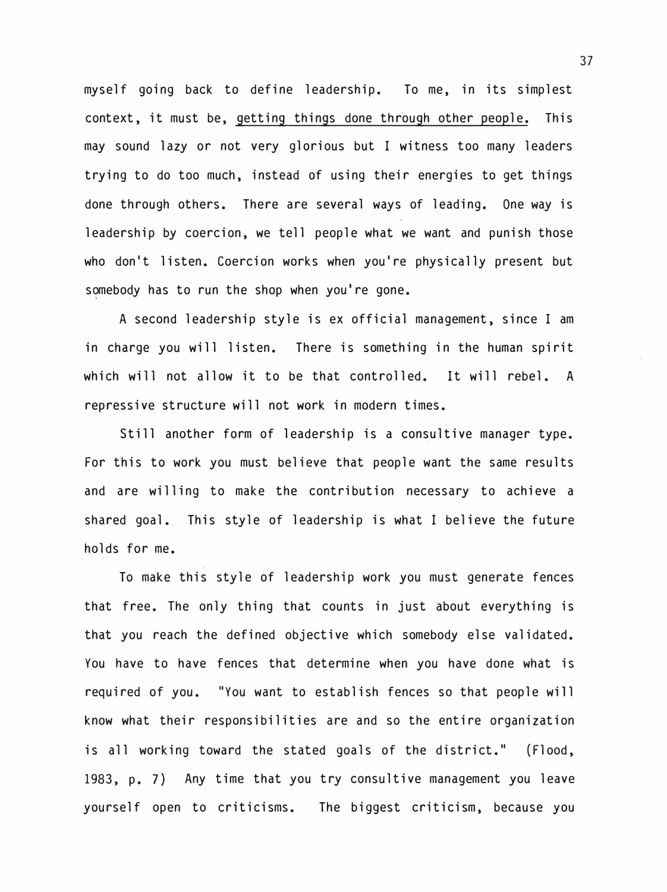myself going back to define leadership. To me, in its simplest context, it must be, getting things done through other people. This may sound lazy or not very glorious but I witness too many leaders trying to do too much, instead of using their energies to get things done through others. There are several ways of leading. One way is leadership by coercion, we tell people what we want and punish those who don't listen. Coercion works when you're physically present but somebody has to run the shop when you're gone.

A second leadership style is ex official management, since I am in charge you will listen. There is something in the human spirit which will not allow it to be that controlled. It will rebel. A repressive structure will not work in modern times.

Still another form of leadership is a consultive manager type. For this to work you must believe that people want the same results and are willing to make the contribution necessary to achieve a shared goal. This style of leadership is what I believe the future holds for me.

To make this style of leadership work you must generate fences that free. The only thing that counts in just about everything is that you reach the defined objective which somebody else validated. You have to have fences that determine when you have done what is required of you. "You want to establish fences so that people will know what their responsibilities are and so the entire organization is all working toward the stated goals of the district." (Flood, 1983, p. 7) Any time that you try consultive management you leave yourself open to criticisms. The biggest criticism, because you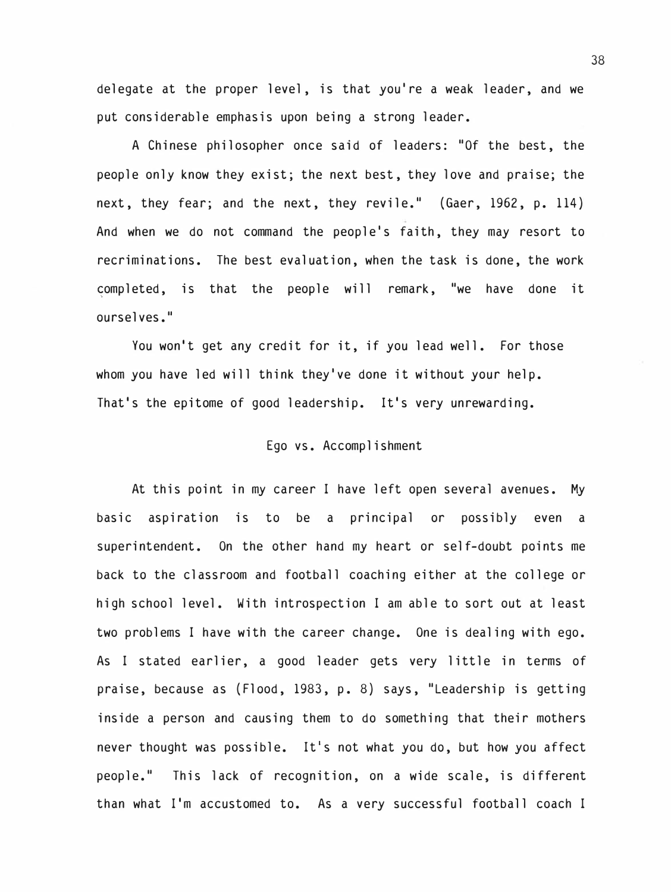delegate at the proper level, is that you're a weak leader, and we put considerable emphasis upon being a strong leader.

A Chinese philosopher once said of leaders: "Of the best, the people only know they exist; the next best, they love and praise; the next, they fear; and the next, they revile." (Gaer, 1962, p. 114) And when we do not command the people's faith, they may resort to recriminations. The best evaluation, when the task is done, the work completed, is that the people will remark, "we have done it ourselves."

You won't get any credit for it, if you lead well. For those whom you have led will think they've done it without your help. That's the epitome of good leadership. It's very unrewarding.

#### Ego vs. Accomplishment

At this point in my career I have left open several avenues. My basic aspiration is to be a principal or possibly even a superintendent. On the other hand my heart or self-doubt points me back to the classroom and football coaching either at the college or high school level. With introspection I am able to sort out at least two problems I have with the career change. One is dealing with ego. As I stated earlier, a good leader gets very little in terms of praise, because as (Flood, 1983, p. 8) says, "Leadership is getting inside a person and causing them to do something that their mothers never thought was possible. It's not what you do, but how you affect people." This lack of recognition, on a wide scale, is different than what I'm accustomed to. As a very successful football coach I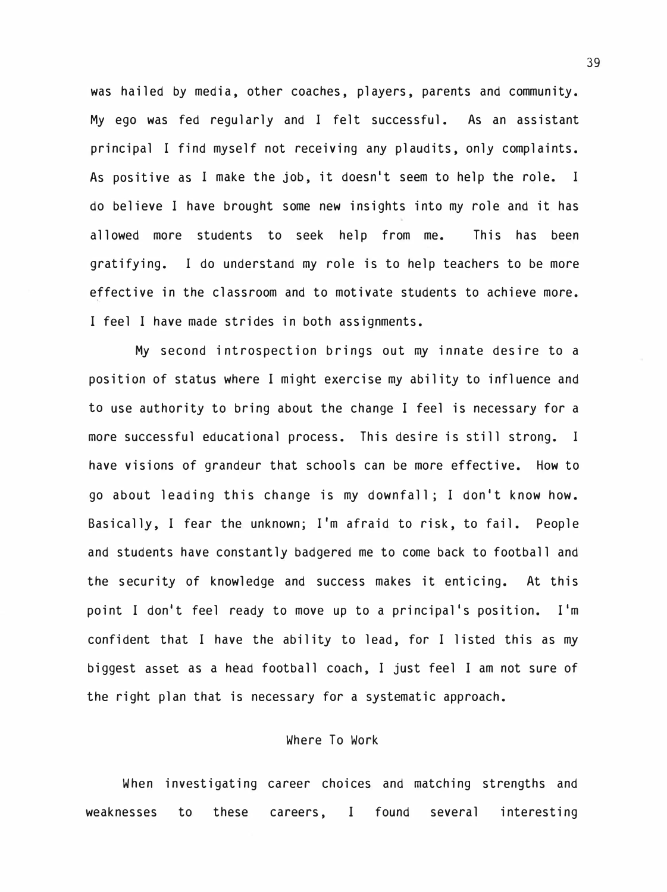was hailed by media, other coaches, players, parents and community. My ego was fed regularly and I felt successful. As an assistant principal I find myself not receiving any plaudits, only complaints. As positive as I make the job, it doesn't seem to help the role. I do believe I have brought some new insights into my role and it has allowed more students to seek help from me. This has been gratifying. I do understand my role is to help teachers to be more effective in the classroom and to motivate students to achieve more. I feel I have made strides in both assignments.

My second introspection brings out my innate desire to a position of status where I might exercise my ability to influence and to use authority to bring about the change I feel is necessary for a more successful educational process. This desire is still strong. I have visions of grandeur that schools can be more effective. How to go about leading this change is my downfall; I don't know how. Basically, I fear the unknown; I'm afraid to risk, to fail. People and students have constantly badgered me to come back to football and the security of knowledge and success makes it enticing. At this point I don't feel ready to move up to a principal's position. I'm confident that I have the ability to lead, for I listed this as my biggest asset as a head football coach, I just feel I am not sure of the right plan that is necessary for a systematic approach.

#### Where To Work

When investigating career choices and matching strengths and weaknesses to these careers, I found several interesting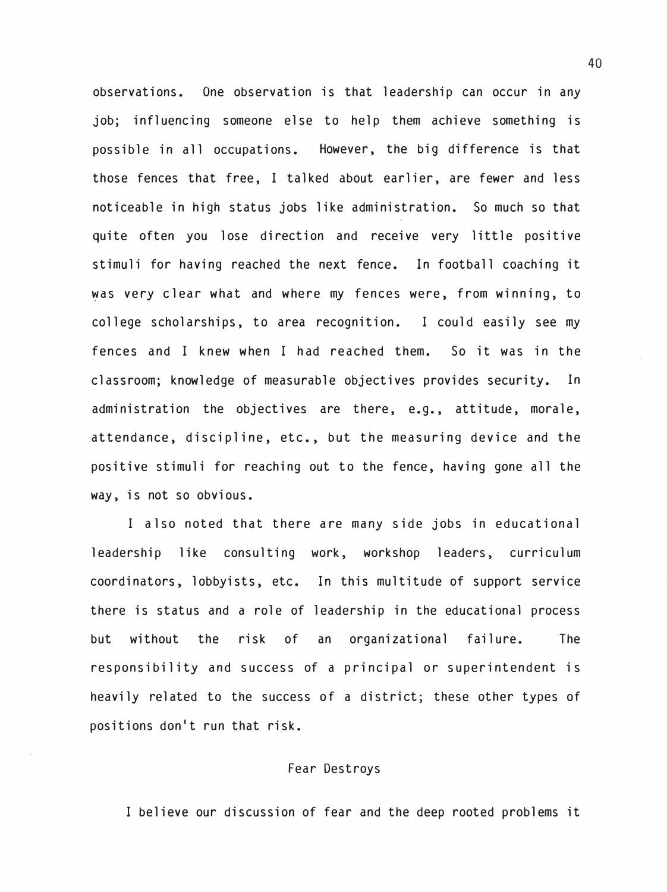observations. One observation is that leadership can occur in any job; influencing someone else to help them achieve something is possible in all occupations. However, the big difference is that those fences that free, I talked about earlier, are fewer and less noticeable in high status jobs like administration. So much so that quite often you lose direction and receive very little positive stimuli for having reached the next fence. In football coaching it �as very clear what and where my fences were, from winning, to college scholarships, to area recognition. I could easily see my fences and I knew when I had reached them. So it was in the classroom; knowledge of measurable objectives provides security. In administration the objectives are there, e.g., attitude, morale, attendance, discipline, etc., but the measuring device and the positive stimuli for reaching out to the fence, having gone all the way, is not so obvious.

I also noted that there are many side jobs in educational leadership like consulting work, workshop leaders, curriculum coordinators, lobbyists, etc. In this multitude of support service there is status and a role of leadership in the educational process but without the risk of an organizational failure. The responsibility and success of a principal or superintendent is heavily related to the success of a district; these other types of positions don't run that risk.

#### Fear Destroys

I believe our discussion of fear and the deep rooted problems it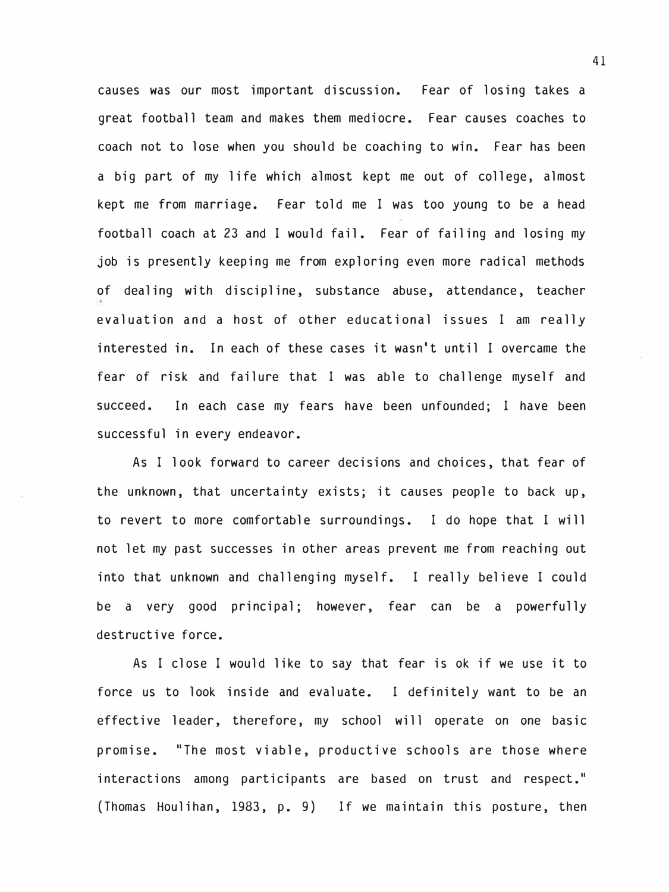causes was our most important discussion. Fear of losing takes a great football team and makes them mediocre. Fear causes coaches to coach not to lose when you should be coaching to win. Fear has been a big part of my life which almost kept me out of college, almost kept me from marriage. Fear told me I was too young to be a head football coach at 23 and I would fail. Fear of failing and losing my job is presently keeping me from exploring even more radical methods of dealing with discipline, substance abuse, attendance, teacher evaluation and a host of other educational issues I am really interested in. In each of these cases it wasn't until I overcame the fear of risk and failure that I was able to challenge myself and succeed. In each case my fears have been unfounded; I have been successful in every endeavor.

As I look forward to career decisions and choices, that fear of the unknown, that uncertainty exists; it causes people to back up, to revert to more comfortable surroundings. I do hope that I will not let my past successes in other areas prevent me from reaching out into that unknown and challenging myself. I really believe I could be a very good principal; however, fear can be a powerfully destructive force.

As I close I would like to say that fear is ok if we use it to force us to look inside and evaluate. I definitely want to be an effective leader, therefore, my school will operate on one basic promise. "The most viable, productive schools are those where interactions among participants are based on trust and respect." (Thomas Houlihan, 1983, p. 9) If we maintain this posture, then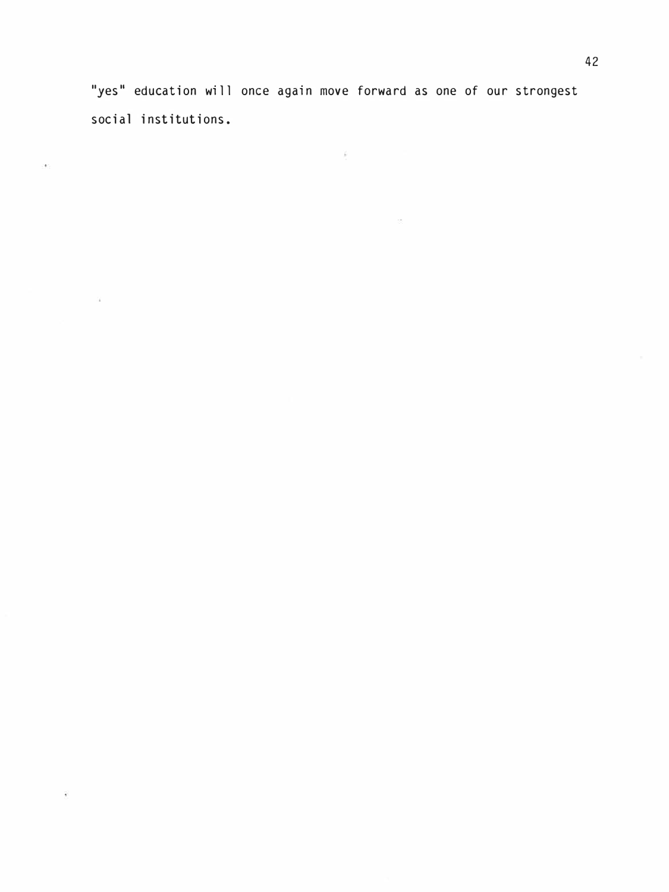''yes" education will once again move forward as one of our strongest social institutions.

cent

 $\sim 100$  m  $^{-1}$ 

 $\mathcal{E}$ 

 $\mu$  and  $\mu$ 

 $\alpha$  ,  $\alpha$  ,  $\alpha$  ,  $\alpha$  ,  $\alpha$